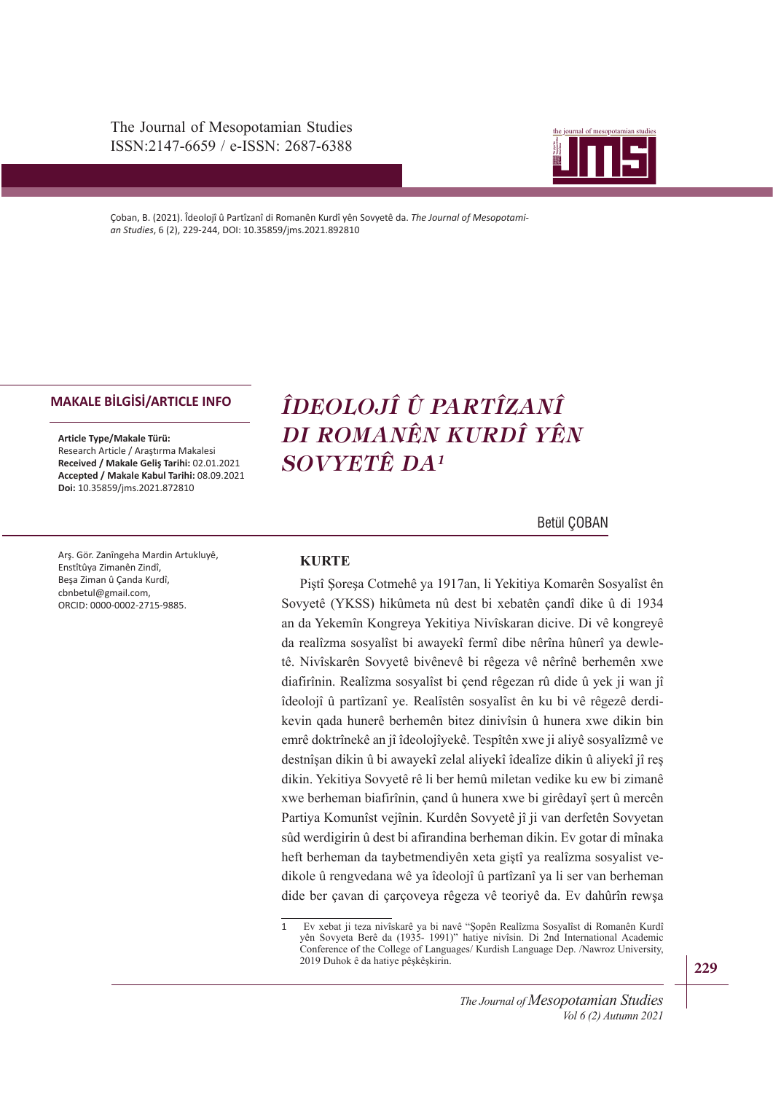The Journal of Mesopotamian Studies ISSN:2147-6659 / e-ISSN: 2687-6388



Çoban, B. (2021). Îdeolojî û Partîzanî di Romanên Kurdî yên Sovyetê da. *The Journal of Mesopotamian Studies*, 6 (2), 229-244, DOI: 10.35859/jms.2021.892810

#### **MAKALE BİLGİSİ/ARTICLE INFO**

**Article Type/Makale Türü:**  Research Article / Araştırma Makalesi **Received / Makale Geliş Tarihi:** 02.01.2021 **Accepted / Makale Kabul Tarihi:** 08.09.2021 **Doi:** 10.35859/jms.2021.872810

Arş. Gör. Zanîngeha Mardin Artukluyê, Enstîtûya Zimanên Zindî, Beşa Ziman û Çanda Kurdî, cbnbetul@gmail.com, ORCID: 0000-0002-2715-9885.

# *ÎDEOLOJÎ Û PARTÎZANÎ DI ROMANÊN KURDÎ YÊN SOVYETÊ DA<sup>1</sup>*

Betül ÇOBAN

## **KURTE**

zeriyene (11222) imnanîsa na 2000'en nevaren şanar ame û ar 1301'an da Yekemîn Kongreya Yekitiya Nivîskaran dicive. Di vê kongreyê da realîzma sosyalîst bi awayekî fermî dibe nêrîna hûnerî ya dewle-Piştî Şoreşa Cotmehê ya 1917an, li Yekitiya Komarên Sosyalîst ên Sovyetê (YKSS) hikûmeta nû dest bi xebatên çandî dike û di 1934 tê. Nivîskarên Sovyetê bivênevê bi rêgeza vê nêrînê berhemên xwe diafirînin. Realîzma sosyalîst bi çend rêgezan rû dide û yek ji wan jî îdeolojî û partîzanî ye. Realîstên sosyalîst ên ku bi vê rêgezê derdikevin qada hunerê berhemên bitez dinivîsin û hunera xwe dikin bin emrê doktrînekê an jî îdeolojîyekê. Tespîtên xwe ji aliyê sosyalîzmê ve destnîşan dikin û bi awayekî zelal aliyekî îdealîze dikin û aliyekî jî reş dikin. Yekitiya Sovyetê rê li ber hemû miletan vedike ku ew bi zimanê xwe berheman biafirînin, çand û hunera xwe bi girêdayî şert û mercên Partiya Komunîst vejînin. Kurdên Sovyetê jî ji van derfetên Sovyetan sûd werdigirin û dest bi afirandina berheman dikin. Ev gotar di mînaka heft berheman da taybetmendiyên xeta giştî ya realîzma sosyalist vedikole û rengvedana wê ya îdeolojî û partîzanî ya li ser van berheman dide ber çavan di çarçoveya rêgeza vê teoriyê da. Ev dahûrîn rewşa

<sup>1</sup> Ev xebat ji teza nivîskarê ya bi navê "Şopên Realîzma Sosyalîst di Romanên Kurdî yên Sovyeta Berê da (1935- 1991)" hatiye nivîsin. Di 2nd International Academic Conference of the College of Languages/ Kurdish Language Dep. /Nawroz University, 2019 Duhok ê da hatiye pêşkêşkirin.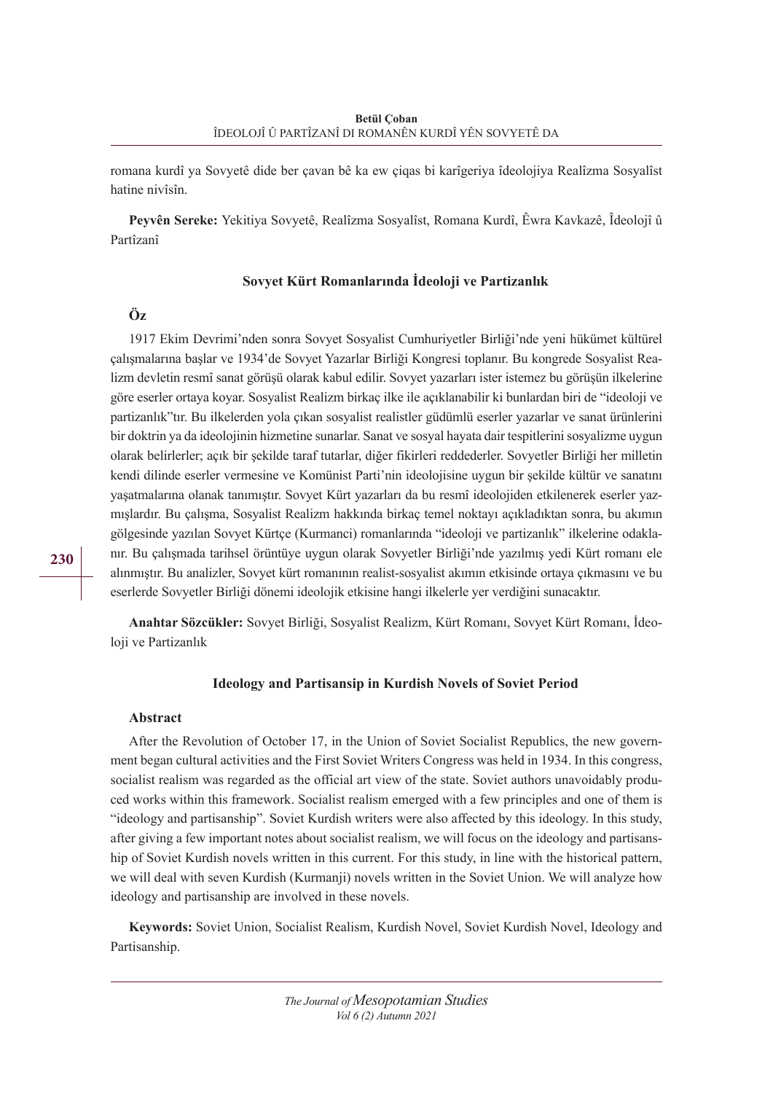romana kurdî ya Sovyetê dide ber çavan bê ka ew çiqas bi karîgeriya îdeolojiya Realîzma Sosyalîst hatine nivîsîn.

**Peyvên Sereke:** Yekitiya Sovyetê, Realîzma Sosyalîst, Romana Kurdî, Êwra Kavkazê, Îdeolojî û Partîzanî

## **Sovyet Kürt Romanlarında İdeoloji ve Partizanlık**

# **Öz**

1917 Ekim Devrimi'nden sonra Sovyet Sosyalist Cumhuriyetler Birliği'nde yeni hükümet kültürel çalışmalarına başlar ve 1934'de Sovyet Yazarlar Birliği Kongresi toplanır. Bu kongrede Sosyalist Realizm devletin resmî sanat görüşü olarak kabul edilir. Sovyet yazarları ister istemez bu görüşün ilkelerine göre eserler ortaya koyar. Sosyalist Realizm birkaç ilke ile açıklanabilir ki bunlardan biri de "ideoloji ve partizanlık"tır. Bu ilkelerden yola çıkan sosyalist realistler güdümlü eserler yazarlar ve sanat ürünlerini bir doktrin ya da ideolojinin hizmetine sunarlar. Sanat ve sosyal hayata dair tespitlerini sosyalizme uygun olarak belirlerler; açık bir şekilde taraf tutarlar, diğer fikirleri reddederler. Sovyetler Birliği her milletin kendi dilinde eserler vermesine ve Komünist Parti'nin ideolojisine uygun bir şekilde kültür ve sanatını yaşatmalarına olanak tanımıştır. Sovyet Kürt yazarları da bu resmî ideolojiden etkilenerek eserler yazmışlardır. Bu çalışma, Sosyalist Realizm hakkında birkaç temel noktayı açıkladıktan sonra, bu akımın gölgesinde yazılan Sovyet Kürtçe (Kurmanci) romanlarında "ideoloji ve partizanlık" ilkelerine odaklanır. Bu çalışmada tarihsel örüntüye uygun olarak Sovyetler Birliği'nde yazılmış yedi Kürt romanı ele alınmıştır. Bu analizler, Sovyet kürt romanının realist-sosyalist akımın etkisinde ortaya çıkmasını ve bu eserlerde Sovyetler Birliği dönemi ideolojik etkisine hangi ilkelerle yer verdiğini sunacaktır.

**Anahtar Sözcükler:** Sovyet Birliği, Sosyalist Realizm, Kürt Romanı, Sovyet Kürt Romanı, İdeoloji ve Partizanlık

## **Ideology and Partisansip in Kurdish Novels of Soviet Period**

## **Abstract**

After the Revolution of October 17, in the Union of Soviet Socialist Republics, the new government began cultural activities and the First Soviet Writers Congress was held in 1934. In this congress, socialist realism was regarded as the official art view of the state. Soviet authors unavoidably produced works within this framework. Socialist realism emerged with a few principles and one of them is "ideology and partisanship". Soviet Kurdish writers were also affected by this ideology. In this study, after giving a few important notes about socialist realism, we will focus on the ideology and partisanship of Soviet Kurdish novels written in this current. For this study, in line with the historical pattern, we will deal with seven Kurdish (Kurmanji) novels written in the Soviet Union. We will analyze how ideology and partisanship are involved in these novels.

**Keywords:** Soviet Union, Socialist Realism, Kurdish Novel, Soviet Kurdish Novel, Ideology and Partisanship.

**230**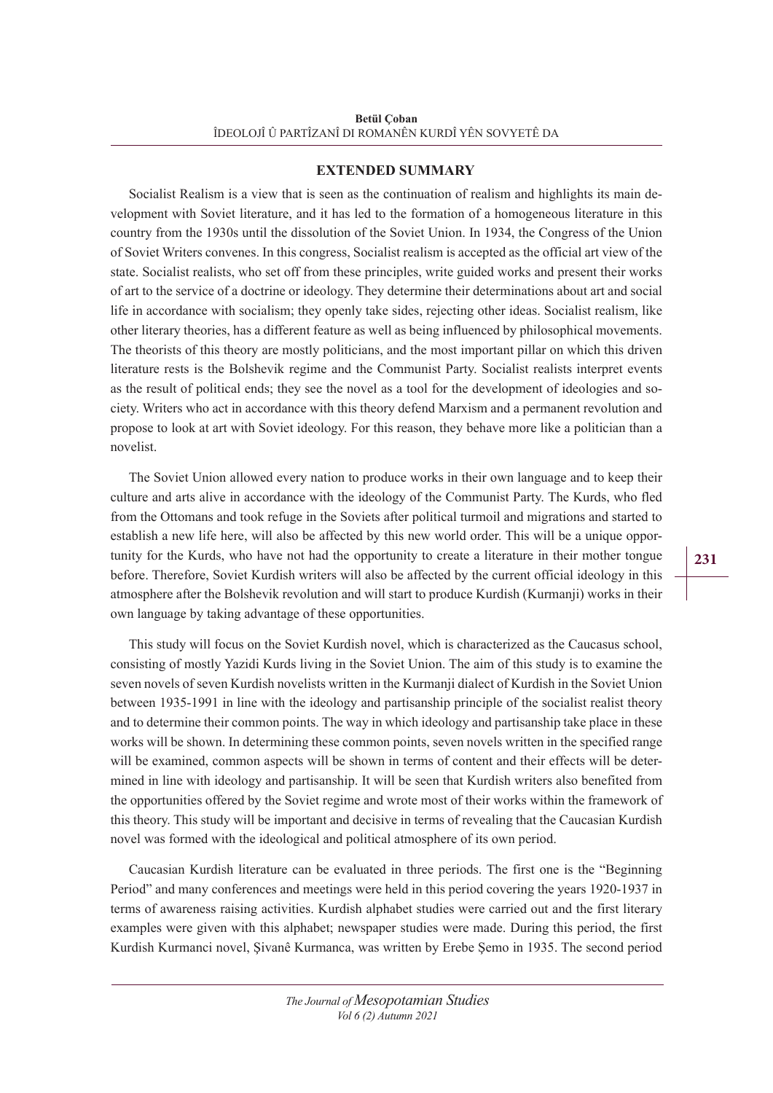# **EXTENDED SUMMARY**

Socialist Realism is a view that is seen as the continuation of realism and highlights its main development with Soviet literature, and it has led to the formation of a homogeneous literature in this country from the 1930s until the dissolution of the Soviet Union. In 1934, the Congress of the Union of Soviet Writers convenes. In this congress, Socialist realism is accepted as the official art view of the state. Socialist realists, who set off from these principles, write guided works and present their works of art to the service of a doctrine or ideology. They determine their determinations about art and social life in accordance with socialism; they openly take sides, rejecting other ideas. Socialist realism, like other literary theories, has a different feature as well as being influenced by philosophical movements. The theorists of this theory are mostly politicians, and the most important pillar on which this driven literature rests is the Bolshevik regime and the Communist Party. Socialist realists interpret events as the result of political ends; they see the novel as a tool for the development of ideologies and society. Writers who act in accordance with this theory defend Marxism and a permanent revolution and propose to look at art with Soviet ideology. For this reason, they behave more like a politician than a novelist.

The Soviet Union allowed every nation to produce works in their own language and to keep their culture and arts alive in accordance with the ideology of the Communist Party. The Kurds, who fled from the Ottomans and took refuge in the Soviets after political turmoil and migrations and started to establish a new life here, will also be affected by this new world order. This will be a unique opportunity for the Kurds, who have not had the opportunity to create a literature in their mother tongue before. Therefore, Soviet Kurdish writers will also be affected by the current official ideology in this atmosphere after the Bolshevik revolution and will start to produce Kurdish (Kurmanji) works in their own language by taking advantage of these opportunities.

This study will focus on the Soviet Kurdish novel, which is characterized as the Caucasus school, consisting of mostly Yazidi Kurds living in the Soviet Union. The aim of this study is to examine the seven novels of seven Kurdish novelists written in the Kurmanji dialect of Kurdish in the Soviet Union between 1935-1991 in line with the ideology and partisanship principle of the socialist realist theory and to determine their common points. The way in which ideology and partisanship take place in these works will be shown. In determining these common points, seven novels written in the specified range will be examined, common aspects will be shown in terms of content and their effects will be determined in line with ideology and partisanship. It will be seen that Kurdish writers also benefited from the opportunities offered by the Soviet regime and wrote most of their works within the framework of this theory. This study will be important and decisive in terms of revealing that the Caucasian Kurdish novel was formed with the ideological and political atmosphere of its own period.

Caucasian Kurdish literature can be evaluated in three periods. The first one is the "Beginning Period" and many conferences and meetings were held in this period covering the years 1920-1937 in terms of awareness raising activities. Kurdish alphabet studies were carried out and the first literary examples were given with this alphabet; newspaper studies were made. During this period, the first Kurdish Kurmanci novel, Şivanê Kurmanca, was written by Erebe Şemo in 1935. The second period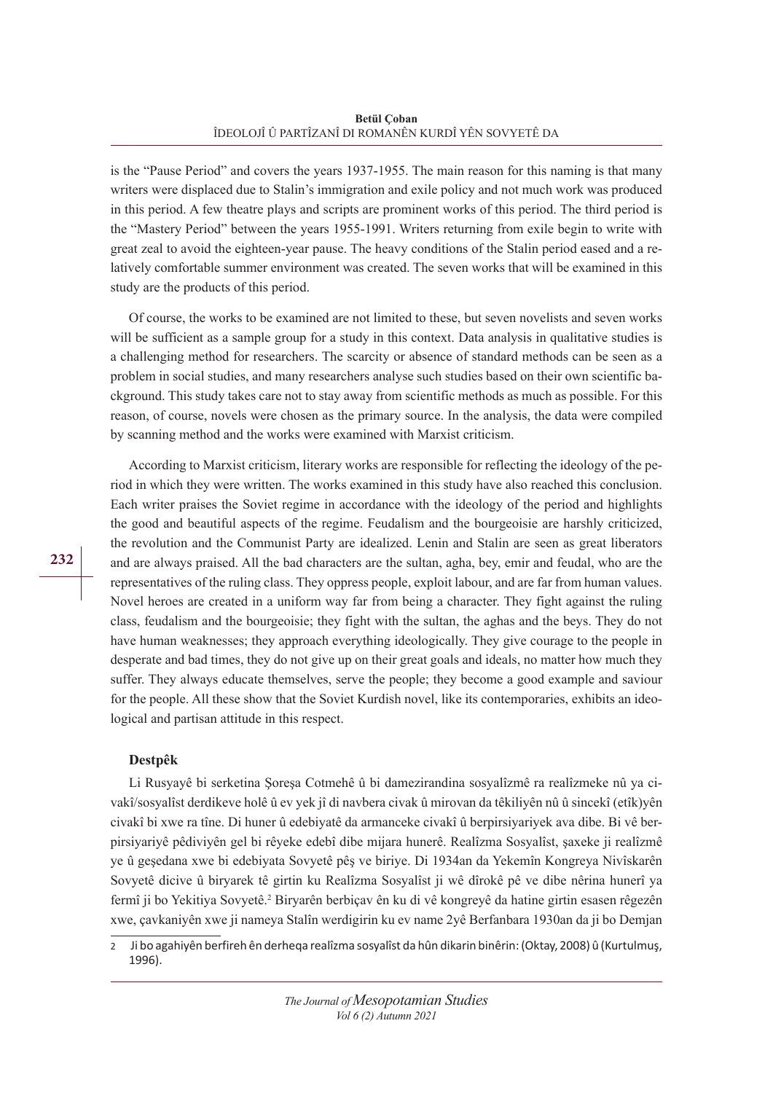is the "Pause Period" and covers the years 1937-1955. The main reason for this naming is that many writers were displaced due to Stalin's immigration and exile policy and not much work was produced in this period. A few theatre plays and scripts are prominent works of this period. The third period is the "Mastery Period" between the years 1955-1991. Writers returning from exile begin to write with great zeal to avoid the eighteen-year pause. The heavy conditions of the Stalin period eased and a relatively comfortable summer environment was created. The seven works that will be examined in this study are the products of this period.

Of course, the works to be examined are not limited to these, but seven novelists and seven works will be sufficient as a sample group for a study in this context. Data analysis in qualitative studies is a challenging method for researchers. The scarcity or absence of standard methods can be seen as a problem in social studies, and many researchers analyse such studies based on their own scientific background. This study takes care not to stay away from scientific methods as much as possible. For this reason, of course, novels were chosen as the primary source. In the analysis, the data were compiled by scanning method and the works were examined with Marxist criticism.

According to Marxist criticism, literary works are responsible for reflecting the ideology of the period in which they were written. The works examined in this study have also reached this conclusion. Each writer praises the Soviet regime in accordance with the ideology of the period and highlights the good and beautiful aspects of the regime. Feudalism and the bourgeoisie are harshly criticized, the revolution and the Communist Party are idealized. Lenin and Stalin are seen as great liberators and are always praised. All the bad characters are the sultan, agha, bey, emir and feudal, who are the representatives of the ruling class. They oppress people, exploit labour, and are far from human values. Novel heroes are created in a uniform way far from being a character. They fight against the ruling class, feudalism and the bourgeoisie; they fight with the sultan, the aghas and the beys. They do not have human weaknesses; they approach everything ideologically. They give courage to the people in desperate and bad times, they do not give up on their great goals and ideals, no matter how much they suffer. They always educate themselves, serve the people; they become a good example and saviour for the people. All these show that the Soviet Kurdish novel, like its contemporaries, exhibits an ideological and partisan attitude in this respect.

## **Destpêk**

Li Rusyayê bi serketina Şoreşa Cotmehê û bi damezirandina sosyalîzmê ra realîzmeke nû ya civakî/sosyalîst derdikeve holê û ev yek jî di navbera civak û mirovan da têkiliyên nû û sincekî (etîk)yên civakî bi xwe ra tîne. Di huner û edebiyatê da armanceke civakî û berpirsiyariyek ava dibe. Bi vê berpirsiyariyê pêdiviyên gel bi rêyeke edebî dibe mijara hunerê. Realîzma Sosyalîst, şaxeke ji realîzmê ye û geşedana xwe bi edebiyata Sovyetê pêş ve biriye. Di 1934an da Yekemîn Kongreya Nivîskarên Sovyetê dicive û biryarek tê girtin ku Realîzma Sosyalîst ji wê dîrokê pê ve dibe nêrina hunerî ya fermî ji bo Yekitiya Sovyetê.<sup>2</sup> Biryarên berbiçav ên ku di vê kongreyê da hatine girtin esasen rêgezên xwe, çavkaniyên xwe ji nameya Stalîn werdigirin ku ev name 2yê Berfanbara 1930an da ji bo Demjan

2 Ji bo agahiyên berfireh ên derheqa realîzma sosyalîst da hûn dikarin binêrin: (Oktay, 2008) û (Kurtulmuş, 1996).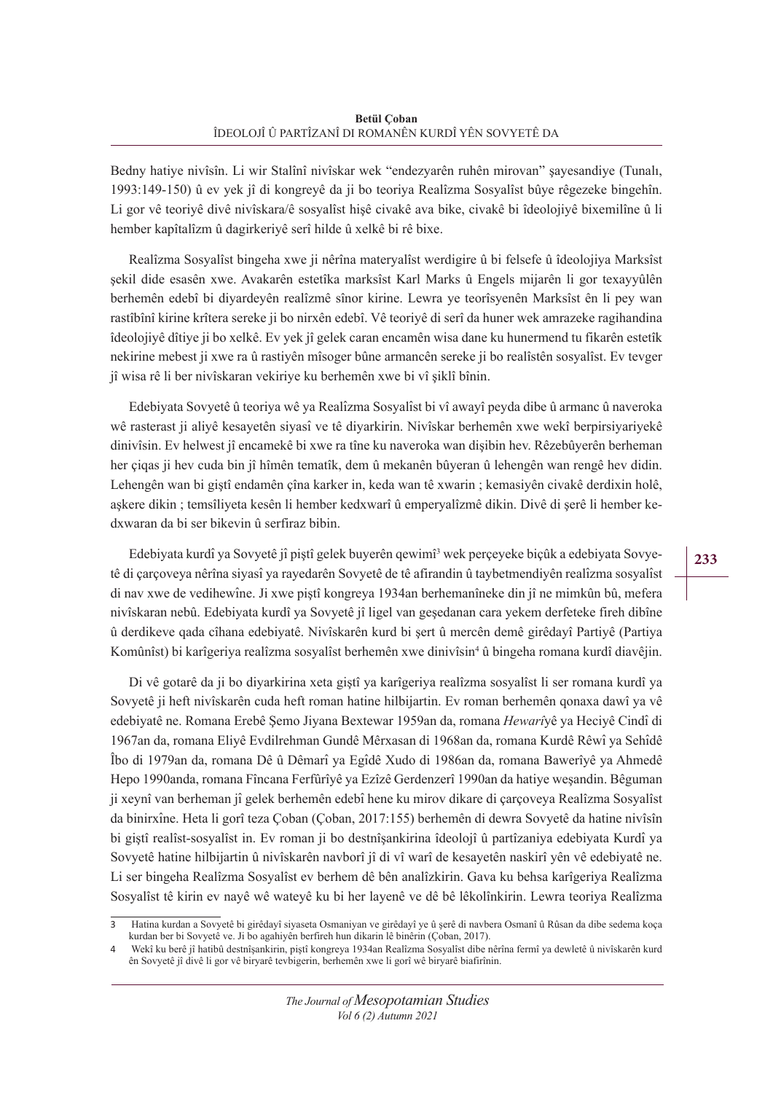Bedny hatiye nivîsîn. Li wir Stalînî nivîskar wek "endezyarên ruhên mirovan" şayesandiye (Tunalı, 1993:149-150) û ev yek jî di kongreyê da ji bo teoriya Realîzma Sosyalîst bûye rêgezeke bingehîn. Li gor vê teoriyê divê nivîskara/ê sosyalîst hişê civakê ava bike, civakê bi îdeolojiyê bixemilîne û li hember kapîtalîzm û dagirkeriyê serî hilde û xelkê bi rê bixe.

Realîzma Sosyalîst bingeha xwe ji nêrîna materyalîst werdigire û bi felsefe û îdeolojiya Marksîst şekil dide esasên xwe. Avakarên estetîka marksîst Karl Marks û Engels mijarên li gor texayyûlên berhemên edebî bi diyardeyên realîzmê sînor kirine. Lewra ye teorîsyenên Marksîst ên li pey wan rastîbînî kirine krîtera sereke ji bo nirxên edebî. Vê teoriyê di serî da huner wek amrazeke ragihandina îdeolojiyê dîtiye ji bo xelkê. Ev yek jî gelek caran encamên wisa dane ku hunermend tu fikarên estetîk nekirine mebest ji xwe ra û rastiyên mîsoger bûne armancên sereke ji bo realîstên sosyalîst. Ev tevger jî wisa rê li ber nivîskaran vekiriye ku berhemên xwe bi vî şiklî bînin.

Edebiyata Sovyetê û teoriya wê ya Realîzma Sosyalîst bi vî awayî peyda dibe û armanc û naveroka wê rasterast ji aliyê kesayetên siyasî ve tê diyarkirin. Nivîskar berhemên xwe wekî berpirsiyariyekê dinivîsin. Ev helwest jî encamekê bi xwe ra tîne ku naveroka wan dişibin hev. Rêzebûyerên berheman her çiqas ji hev cuda bin jî hîmên tematîk, dem û mekanên bûyeran û lehengên wan rengê hev didin. Lehengên wan bi giştî endamên çîna karker in, keda wan tê xwarin ; kemasiyên civakê derdixin holê, aşkere dikin ; temsîliyeta kesên li hember kedxwarî û emperyalîzmê dikin. Divê di şerê li hember kedxwaran da bi ser bikevin û serfiraz bibin.

Edebiyata kurdî ya Sovyetê jî piştî gelek buyerên qewimî<sup>3</sup> wek perçeyeke biçûk a edebiyata Sovyetê di çarçoveya nêrîna siyasî ya rayedarên Sovyetê de tê afirandin û taybetmendiyên realîzma sosyalîst di nav xwe de vedihewîne. Ji xwe piştî kongreya 1934an berhemanîneke din jî ne mimkûn bû, mefera nivîskaran nebû. Edebiyata kurdî ya Sovyetê jî ligel van geşedanan cara yekem derfeteke fireh dibîne û derdikeve qada cîhana edebiyatê. Nivîskarên kurd bi şert û mercên demê girêdayî Partiyê (Partiya Komûnîst) bi karîgeriya realîzma sosyalîst berhemên xwe dinivîsin<sup>4</sup> û bingeha romana kurdî diavêjin.

Di vê gotarê da ji bo diyarkirina xeta giştî ya karîgeriya realîzma sosyalîst li ser romana kurdî ya Sovyetê ji heft nivîskarên cuda heft roman hatine hilbijartin. Ev roman berhemên qonaxa dawî ya vê edebiyatê ne. Romana Erebê Şemo Jiyana Bextewar 1959an da, romana *Hewarî*yê ya Heciyê Cindî di 1967an da, romana Eliyê Evdilrehman Gundê Mêrxasan di 1968an da, romana Kurdê Rêwî ya Sehîdê Îbo di 1979an da, romana Dê û Dêmarî ya Egîdê Xudo di 1986an da, romana Bawerîyê ya Ahmedê Hepo 1990anda, romana Fîncana Ferfûrîyê ya Ezîzê Gerdenzerî 1990an da hatiye weşandin. Bêguman ji xeynî van berheman jî gelek berhemên edebî hene ku mirov dikare di çarçoveya Realîzma Sosyalîst da binirxîne. Heta li gorî teza Çoban (Çoban, 2017:155) berhemên di dewra Sovyetê da hatine nivîsîn bi giştî realîst-sosyalîst in. Ev roman ji bo destnîşankirina îdeolojî û partîzaniya edebiyata Kurdî ya Sovyetê hatine hilbijartin û nivîskarên navborî jî di vî warî de kesayetên naskirî yên vê edebiyatê ne. Li ser bingeha Realîzma Sosyalîst ev berhem dê bên analîzkirin. Gava ku behsa karîgeriya Realîzma Sosyalîst tê kirin ev nayê wê wateyê ku bi her layenê ve dê bê lêkolînkirin. Lewra teoriya Realîzma

<sup>3</sup> Hatina kurdan a Sovyetê bi girêdayî siyaseta Osmaniyan ve girêdayî ye û şerê di navbera Osmanî û Rûsan da dibe sedema koça kurdan ber bi Sovyetê ve. Ji bo agahiyên berfireh hun dikarin lê binêrin (Çoban, 2017).

<sup>4</sup> Wekî ku berê jî hatibû destnîşankirin, piştî kongreya 1934an Realîzma Sosyalîst dibe nêrîna fermî ya dewletê û nivîskarên kurd ên Sovyetê jî divê li gor vê biryarê tevbigerin, berhemên xwe li gorî wê biryarê biafirînin.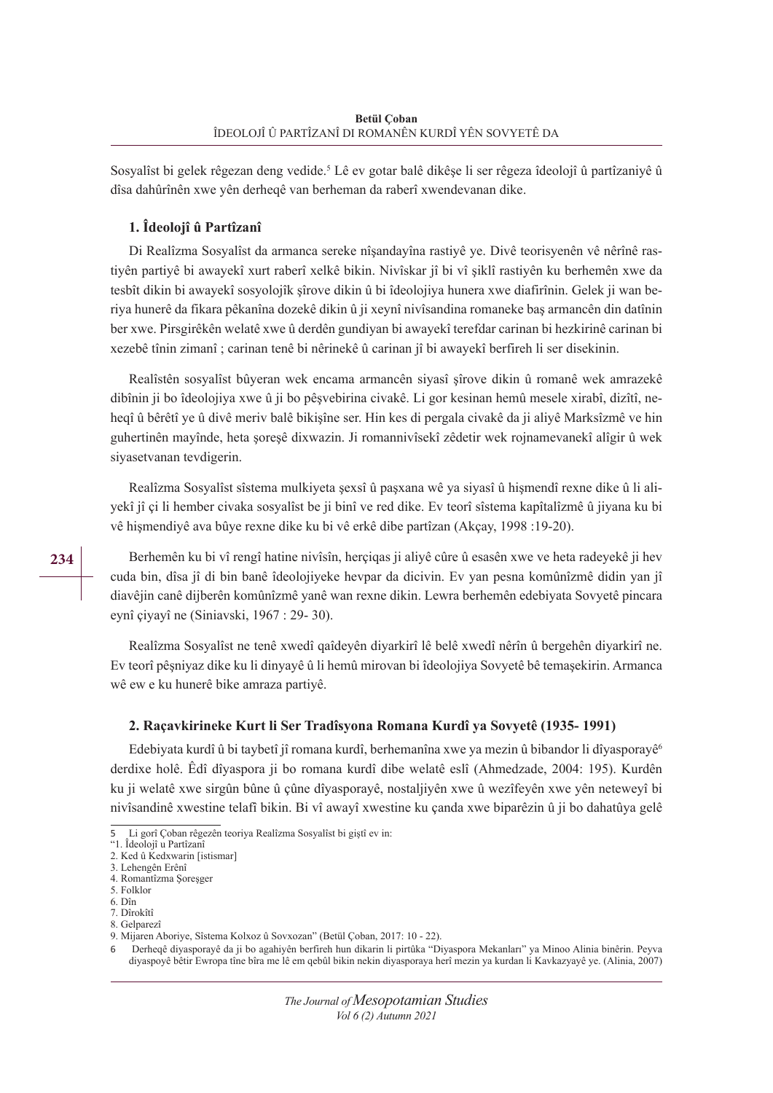Sosyalîst bi gelek rêgezan deng vedide.<sup>5</sup> Lê ev gotar balê dikêşe li ser rêgeza îdeolojî û partîzaniyê û dîsa dahûrînên xwe yên derheqê van berheman da raberî xwendevanan dike.

# **1. Îdeolojî û Partîzanî**

Di Realîzma Sosyalîst da armanca sereke nîşandayîna rastiyê ye. Divê teorisyenên vê nêrînê rastiyên partiyê bi awayekî xurt raberî xelkê bikin. Nivîskar jî bi vî şiklî rastiyên ku berhemên xwe da tesbît dikin bi awayekî sosyolojîk şîrove dikin û bi îdeolojiya hunera xwe diafirînin. Gelek ji wan beriya hunerê da fikara pêkanîna dozekê dikin û ji xeynî nivîsandina romaneke baş armancên din datînin ber xwe. Pirsgirêkên welatê xwe û derdên gundiyan bi awayekî terefdar carinan bi hezkirinê carinan bi xezebê tînin zimanî ; carinan tenê bi nêrinekê û carinan jî bi awayekî berfireh li ser disekinin.

Realîstên sosyalîst bûyeran wek encama armancên siyasî şîrove dikin û romanê wek amrazekê dibînin ji bo îdeolojiya xwe û ji bo pêşvebirina civakê. Li gor kesinan hemû mesele xirabî, dizîtî, neheqî û bêrêtî ye û divê meriv balê bikişîne ser. Hin kes di pergala civakê da ji aliyê Marksîzmê ve hin guhertinên mayînde, heta şoreşê dixwazin. Ji romannivîsekî zêdetir wek rojnamevanekî alîgir û wek siyasetvanan tevdigerin.

Realîzma Sosyalîst sîstema mulkiyeta şexsî û paşxana wê ya siyasî û hişmendî rexne dike û li aliyekî jî çi li hember civaka sosyalîst be ji binî ve red dike. Ev teorî sîstema kapîtalîzmê û jiyana ku bi vê hişmendiyê ava bûye rexne dike ku bi vê erkê dibe partîzan (Akçay, 1998 :19-20).

Berhemên ku bi vî rengî hatine nivîsîn, herçiqas ji aliyê cûre û esasên xwe ve heta radeyekê ji hev cuda bin, dîsa jî di bin banê îdeolojiyeke hevpar da dicivin. Ev yan pesna komûnîzmê didin yan jî diavêjin canê dijberên komûnîzmê yanê wan rexne dikin. Lewra berhemên edebiyata Sovyetê pincara eynî çiyayî ne (Siniavski, 1967 : 29- 30).

Realîzma Sosyalîst ne tenê xwedî qaîdeyên diyarkirî lê belê xwedî nêrîn û bergehên diyarkirî ne. Ev teorî pêşniyaz dike ku li dinyayê û li hemû mirovan bi îdeolojiya Sovyetê bê temaşekirin. Armanca wê ew e ku hunerê bike amraza partiyê.

# **2. Raçavkirineke Kurt li Ser Tradîsyona Romana Kurdî ya Sovyetê (1935- 1991)**

Edebiyata kurdî û bi taybetî jî romana kurdî, berhemanîna xwe ya mezin û bibandor li dîyasporayê<sup>6</sup> derdixe holê. Êdî dîyaspora ji bo romana kurdî dibe welatê eslî (Ahmedzade, 2004: 195). Kurdên ku ji welatê xwe sirgûn bûne û çûne dîyasporayê, nostaljiyên xwe û wezîfeyên xwe yên neteweyî bi nivîsandinê xwestine telafî bikin. Bi vî awayî xwestine ku çanda xwe biparêzin û ji bo dahatûya gelê

<sup>5</sup> Li gorî Çoban rêgezên teoriya Realîzma Sosyalîst bi giştî ev in:

<sup>&</sup>quot;1. Îdeolojî u Partîzanî

<sup>2.</sup> Ked û Kedxwarin [istismar] 3. Lehengên Erênî

<sup>4.</sup> Romantîzma Şoreşger

<sup>5.</sup> Folklor

<sup>6.</sup> Dîn

<sup>7.</sup> Dîrokîtî

<sup>8.</sup> Gelparezî

<sup>9.</sup> Mijaren Aboriye, Sîstema Kolxoz û Sovxozan" (Betül Çoban, 2017: 10 - 22).

<sup>6</sup> Derheqê diyasporayê da ji bo agahiyên berfireh hun dikarin li pirtûka "Diyaspora Mekanları" ya Minoo Alinia binêrin. Peyva diyaspoyê bêtir Ewropa tîne bîra me lê em qebûl bikin nekin diyasporaya herî mezin ya kurdan li Kavkazyayê ye. (Alinia, 2007)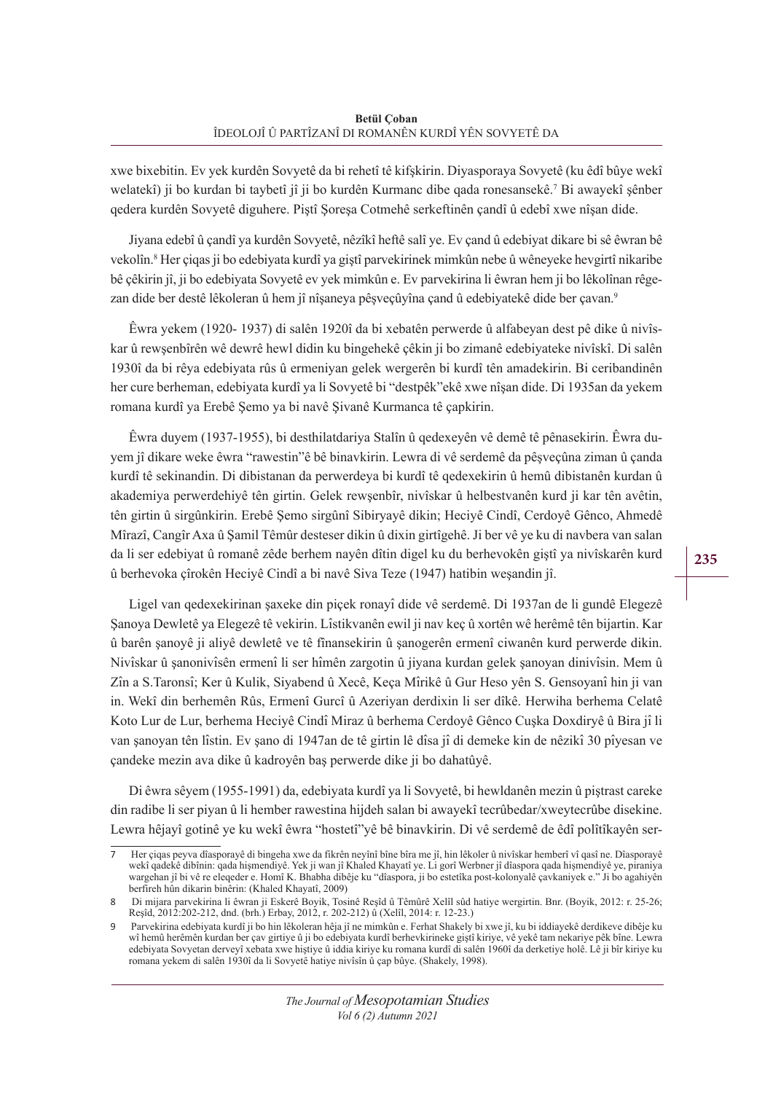xwe bixebitin. Ev yek kurdên Sovyetê da bi rehetî tê kifşkirin. Diyasporaya Sovyetê (ku êdî bûye wekî welatekî) ji bo kurdan bi taybetî jî ji bo kurdên Kurmanc dibe qada ronesansekê.7 Bi awayekî şênber qedera kurdên Sovyetê diguhere. Piştî Şoreşa Cotmehê serkeftinên çandî û edebî xwe nîşan dide.

Jiyana edebî û çandî ya kurdên Sovyetê, nêzîkî heftê salî ye. Ev çand û edebiyat dikare bi sê êwran bê vekolîn.8 Her çiqas ji bo edebiyata kurdî ya giştî parvekirinek mimkûn nebe û wêneyeke hevgirtî nikaribe bê çêkirin jî, ji bo edebiyata Sovyetê ev yek mimkûn e. Ev parvekirina li êwran hem ji bo lêkolînan rêgezan dide ber destê lêkoleran û hem jî nîşaneya pêşveçûyîna çand û edebiyatekê dide ber çavan.<sup>9</sup>

Êwra yekem (1920- 1937) di salên 1920î da bi xebatên perwerde û alfabeyan dest pê dike û nivîskar û rewşenbîrên wê dewrê hewl didin ku bingehekê çêkin ji bo zimanê edebiyateke nivîskî. Di salên 1930î da bi rêya edebiyata rûs û ermeniyan gelek wergerên bi kurdî tên amadekirin. Bi ceribandinên her cure berheman, edebiyata kurdî ya li Sovyetê bi "destpêk"ekê xwe nîşan dide. Di 1935an da yekem romana kurdî ya Erebê Şemo ya bi navê Şivanê Kurmanca tê çapkirin.

Êwra duyem (1937-1955), bi desthilatdariya Stalîn û qedexeyên vê demê tê pênasekirin. Êwra duyem jî dikare weke êwra "rawestin"ê bê binavkirin. Lewra di vê serdemê da pêşveçûna ziman û çanda kurdî tê sekinandin. Di dibistanan da perwerdeya bi kurdî tê qedexekirin û hemû dibistanên kurdan û akademiya perwerdehiyê tên girtin. Gelek rewşenbîr, nivîskar û helbestvanên kurd ji kar tên avêtin, tên girtin û sirgûnkirin. Erebê Şemo sirgûnî Sibiryayê dikin; Heciyê Cindî, Cerdoyê Gênco, Ahmedê Mîrazî, Cangîr Axa û Şamil Têmûr desteser dikin û dixin girtîgehê. Ji ber vê ye ku di navbera van salan da li ser edebiyat û romanê zêde berhem nayên dîtin digel ku du berhevokên giştî ya nivîskarên kurd û berhevoka çîrokên Heciyê Cindî a bi navê Siva Teze (1947) hatibin weşandin jî.

Ligel van qedexekirinan şaxeke din piçek ronayî dide vê serdemê. Di 1937an de li gundê Elegezê Şanoya Dewletê ya Elegezê tê vekirin. Lîstikvanên ewil ji nav keç û xortên wê herêmê tên bijartin. Kar û barên şanoyê ji aliyê dewletê ve tê fînansekirin û şanogerên ermenî ciwanên kurd perwerde dikin. Nivîskar û şanonivîsên ermenî li ser hîmên zargotin û jiyana kurdan gelek şanoyan dinivîsin. Mem û Zîn a S.Taronsî; Ker û Kulik, Siyabend û Xecê, Keça Mîrikê û Gur Heso yên S. Gensoyanî hin ji van in. Wekî din berhemên Rûs, Ermenî Gurcî û Azeriyan derdixin li ser dîkê. Herwiha berhema Celatê Koto Lur de Lur, berhema Heciyê Cindî Miraz û berhema Cerdoyê Gênco Cuşka Doxdiryê û Bira jî li van şanoyan tên lîstin. Ev şano di 1947an de tê girtin lê dîsa jî di demeke kin de nêzikî 30 pîyesan ve çandeke mezin ava dike û kadroyên baş perwerde dike ji bo dahatûyê.

Di êwra sêyem (1955-1991) da, edebiyata kurdî ya li Sovyetê, bi hewldanên mezin û piştrast careke din radibe li ser piyan û li hember rawestina hijdeh salan bi awayekî tecrûbedar/xweytecrûbe disekine. Lewra hêjayî gotinê ye ku wekî êwra "hostetî"yê bê binavkirin. Di vê serdemê de êdî polîtîkayên ser-

Her çiqas peyva dîasporayê di bingeha xwe da fikrên neyînî bîne bîra me jî, hin lêkoler û nivîskar hemberî vî qasî ne. Dîasporayê wekî qadekê dibînin: qada hişmendiyê. Yek ji wan jî Khaled Khayatî ye. Li gorî Werbner jî dîaspora qada hişmendiyê ye, piraniya wargehan jî bi vê re eleqeder e. Homî K. Bhabha dibêje ku "dîaspora, ji bo estetîka post-kolonyalê çavkaniyek e." Ji bo agahiyên berfireh hûn dikarin binêrin: (Khaled Khayatî, 2009)

<sup>8</sup> Di mijara parvekirina li êwran ji Eskerê Boyik, Tosinê Reşîd û Têmûrê Xelîl sûd hatiye wergirtin. Bnr. (Boyik, 2012: r. 25-26; Reşîd, 2012:202-212, dnd. (brh.) Erbay, 2012, r. 202-212) û (Xelîl, 2014: r. 12-23.)

<sup>9</sup> Parvekirina edebiyata kurdî ji bo hin lêkoleran hêja jî ne mimkûn e. Ferhat Shakely bi xwe jî, ku bi iddiayekê derdikeve dibêje ku wî hemû herêmên kurdan ber çav girtiye û ji bo edebiyata kurdî berhevkirineke giştî kiriye, vê yekê tam nekariye pêk bîne. Lewra edebiyata Sovyetan derveyî xebata xwe hiştiye û iddia kiriye ku romana kurdî di salên 1960î da derketiye holê. Lê ji bîr kiriye ku romana yekem di salên 1930î da li Sovyetê hatiye nivîsîn û çap bûye. (Shakely, 1998).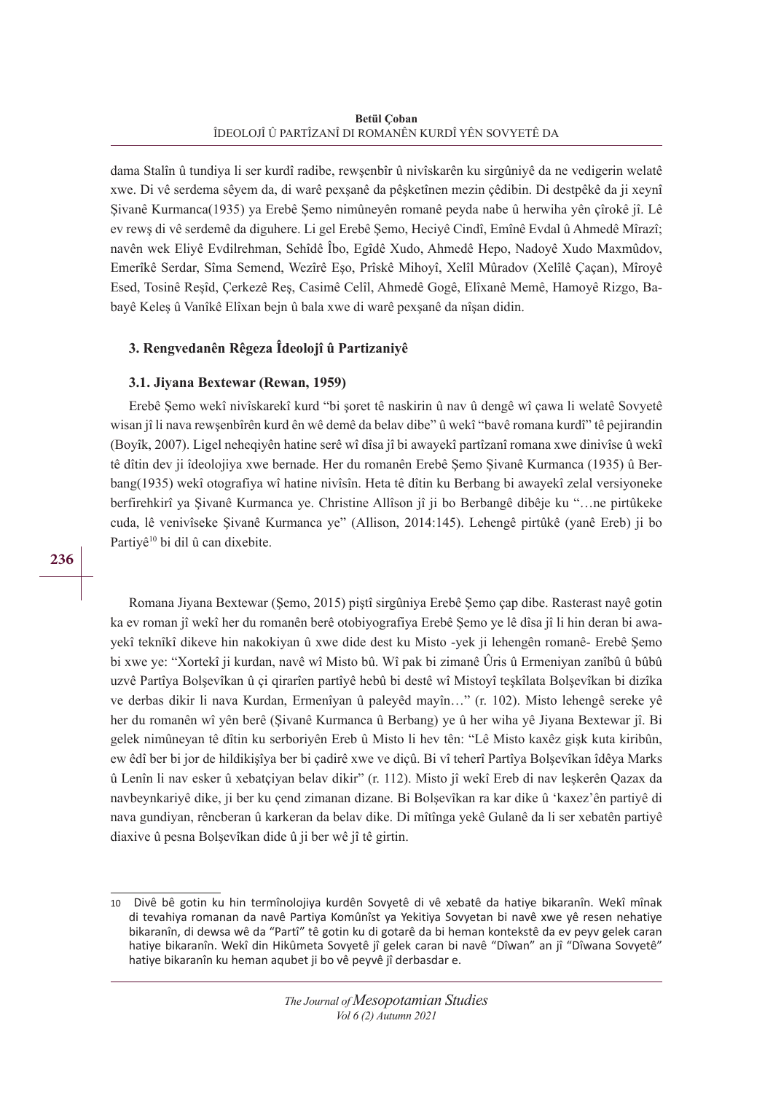dama Stalîn û tundiya li ser kurdî radibe, rewşenbîr û nivîskarên ku sirgûniyê da ne vedigerin welatê xwe. Di vê serdema sêyem da, di warê pexşanê da pêşketînen mezin çêdibin. Di destpêkê da ji xeynî Şivanê Kurmanca(1935) ya Erebê Şemo nimûneyên romanê peyda nabe û herwiha yên çîrokê jî. Lê ev rewş di vê serdemê da diguhere. Li gel Erebê Şemo, Heciyê Cindî, Emînê Evdal û Ahmedê Mîrazî; navên wek Eliyê Evdilrehman, Sehîdê Îbo, Egîdê Xudo, Ahmedê Hepo, Nadoyê Xudo Maxmûdov, Emerîkê Serdar, Sîma Semend, Wezîrê Eşo, Prîskê Mihoyî, Xelîl Mûradov (Xelîlê Çaçan), Mîroyê Esed, Tosinê Reşîd, Çerkezê Reş, Casimê Celîl, Ahmedê Gogê, Elîxanê Memê, Hamoyê Rizgo, Babayê Keleş û Vanîkê Elîxan bejn û bala xwe di warê pexşanê da nîşan didin.

# **3. Rengvedanên Rêgeza Îdeolojî û Partizaniyê**

# **3.1. Jiyana Bextewar (Rewan, 1959)**

Erebê Şemo wekî nivîskarekî kurd "bi şoret tê naskirin û nav û dengê wî çawa li welatê Sovyetê wisan jî li nava rewşenbîrên kurd ên wê demê da belav dibe" û wekî "bavê romana kurdî" tê pejirandin (Boyîk, 2007). Ligel neheqiyên hatine serê wî dîsa jî bi awayekî partîzanî romana xwe dinivîse û wekî tê dîtin dev ji îdeolojiya xwe bernade. Her du romanên Erebê Şemo Şivanê Kurmanca (1935) û Berbang(1935) wekî otografiya wî hatine nivîsîn. Heta tê dîtin ku Berbang bi awayekî zelal versiyoneke berfirehkirî ya Şivanê Kurmanca ye. Christine Allîson jî ji bo Berbangê dibêje ku "…ne pirtûkeke cuda, lê venivîseke Şivanê Kurmanca ye" (Allison, 2014:145). Lehengê pirtûkê (yanê Ereb) ji bo Partiyê<sup>10</sup> bi dil û can dixebite.

Romana Jiyana Bextewar (Şemo, 2015) piştî sirgûniya Erebê Şemo çap dibe. Rasterast nayê gotin ka ev roman jî wekî her du romanên berê otobiyografiya Erebê Şemo ye lê dîsa jî li hin deran bi awayekî teknîkî dikeve hin nakokiyan û xwe dide dest ku Misto -yek ji lehengên romanê- Erebê Şemo bi xwe ye: "Xortekî ji kurdan, navê wî Misto bû. Wî pak bi zimanê Ûris û Ermeniyan zanîbû û bûbû uzvê Partîya Bolşevîkan û çi qirarîen partîyê hebû bi destê wî Mistoyî teşkîlata Bolşevîkan bi dizîka ve derbas dikir li nava Kurdan, Ermenîyan û paleyêd mayîn…" (r. 102). Misto lehengê sereke yê her du romanên wî yên berê (Şivanê Kurmanca û Berbang) ye û her wiha yê Jiyana Bextewar jî. Bi gelek nimûneyan tê dîtin ku serboriyên Ereb û Misto li hev tên: "Lê Misto kaxêz gişk kuta kiribûn, ew êdî ber bi jor de hildikişîya ber bi çadirê xwe ve diçû. Bi vî teherî Partîya Bolşevîkan îdêya Marks û Lenîn li nav esker û xebatçiyan belav dikir" (r. 112). Misto jî wekî Ereb di nav leşkerên Qazax da navbeynkariyê dike, ji ber ku çend zimanan dizane. Bi Bolşevîkan ra kar dike û 'kaxez'ên partiyê di nava gundiyan, rêncberan û karkeran da belav dike. Di mîtînga yekê Gulanê da li ser xebatên partiyê diaxive û pesna Bolşevîkan dide û ji ber wê jî tê girtin.

<sup>10</sup> Divê bê gotin ku hin termînolojiya kurdên Sovyetê di vê xebatê da hatiye bikaranîn. Wekî mînak di tevahiya romanan da navê Partiya Komûnîst ya Yekitiya Sovyetan bi navê xwe yê resen nehatiye bikaranîn, di dewsa wê da "Partî" tê gotin ku di gotarê da bi heman kontekstê da ev peyv gelek caran hatiye bikaranîn. Wekî din Hikûmeta Sovyetê jî gelek caran bi navê "Dîwan" an jî "Dîwana Sovyetê" hatiye bikaranîn ku heman aqubet ji bo vê peyvê jî derbasdar e.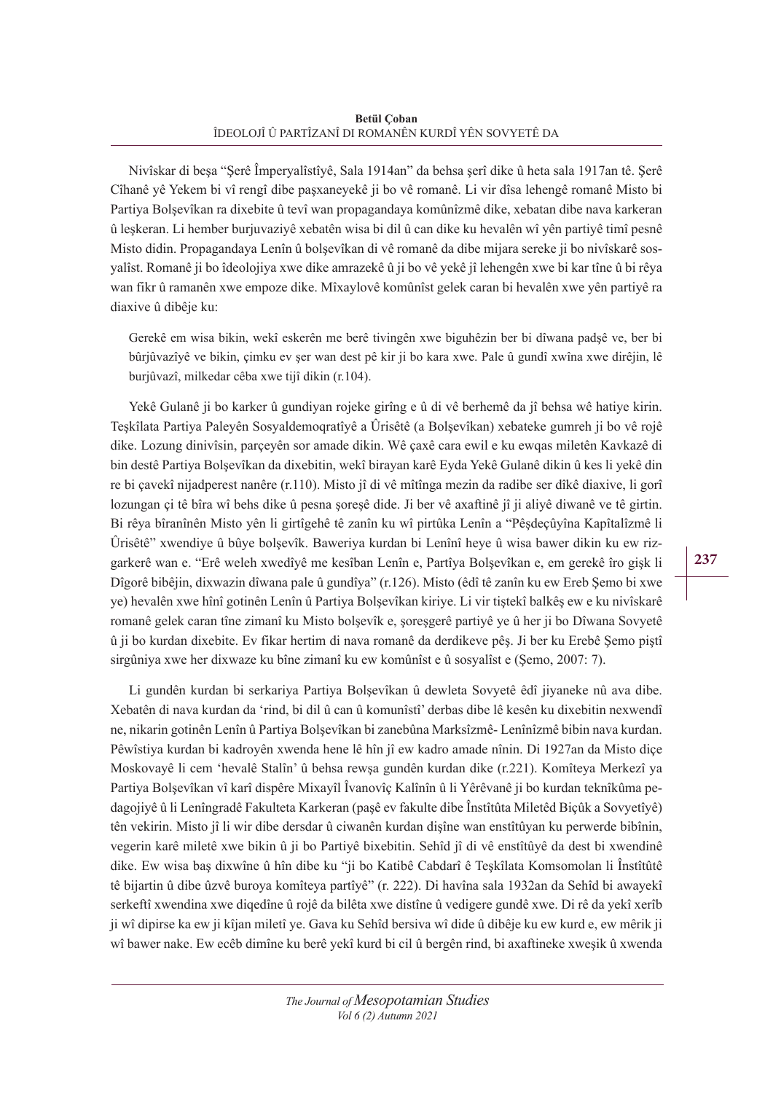Nivîskar di beşa "Şerê Împeryalîstîyê, Sala 1914an" da behsa şerî dike û heta sala 1917an tê. Şerê Cîhanê yê Yekem bi vî rengî dibe paşxaneyekê ji bo vê romanê. Li vir dîsa lehengê romanê Misto bi Partiya Bolşevîkan ra dixebite û tevî wan propagandaya komûnîzmê dike, xebatan dibe nava karkeran û leşkeran. Li hember burjuvaziyê xebatên wisa bi dil û can dike ku hevalên wî yên partiyê timî pesnê Misto didin. Propagandaya Lenîn û bolşevîkan di vê romanê da dibe mijara sereke ji bo nivîskarê sosyalîst. Romanê ji bo îdeolojiya xwe dike amrazekê û ji bo vê yekê jî lehengên xwe bi kar tîne û bi rêya wan fikr û ramanên xwe empoze dike. Mîxaylovê komûnîst gelek caran bi hevalên xwe yên partiyê ra diaxive û dibêje ku:

Gerekê em wisa bikin, wekî eskerên me berê tivingên xwe biguhêzin ber bi dîwana padşê ve, ber bi bûrjûvazîyê ve bikin, çimku ev şer wan dest pê kir ji bo kara xwe. Pale û gundî xwîna xwe dirêjin, lê burjûvazî, milkedar cêba xwe tijî dikin (r.104).

Yekê Gulanê ji bo karker û gundiyan rojeke girîng e û di vê berhemê da jî behsa wê hatiye kirin. Teşkîlata Partiya Paleyên Sosyaldemoqratîyê a Ûrisêtê (a Bolşevîkan) xebateke gumreh ji bo vê rojê dike. Lozung dinivîsin, parçeyên sor amade dikin. Wê çaxê cara ewil e ku ewqas miletên Kavkazê di bin destê Partiya Bolşevîkan da dixebitin, wekî birayan karê Eyda Yekê Gulanê dikin û kes li yekê din re bi çavekî nijadperest nanêre (r.110). Misto jî di vê mîtînga mezin da radibe ser dîkê diaxive, li gorî lozungan çi tê bîra wî behs dike û pesna şoreşê dide. Ji ber vê axaftinê jî ji aliyê diwanê ve tê girtin. Bi rêya bîranînên Misto yên li girtîgehê tê zanîn ku wî pirtûka Lenîn a "Pêşdeçûyîna Kapîtalîzmê li Ûrisêtê" xwendiye û bûye bolşevîk. Baweriya kurdan bi Lenînî heye û wisa bawer dikin ku ew rizgarkerê wan e. "Erê weleh xwedîyê me kesîban Lenîn e, Partîya Bolşevîkan e, em gerekê îro gişk li Dîgorê bibêjin, dixwazin dîwana pale û gundîya" (r.126). Misto (êdî tê zanîn ku ew Ereb Şemo bi xwe ye) hevalên xwe hînî gotinên Lenîn û Partiya Bolşevîkan kiriye. Li vir tiştekî balkêş ew e ku nivîskarê romanê gelek caran tîne zimanî ku Misto bolşevîk e, şoreşgerê partiyê ye û her ji bo Dîwana Sovyetê û ji bo kurdan dixebite. Ev fikar hertim di nava romanê da derdikeve pêş. Ji ber ku Erebê Şemo piştî sirgûniya xwe her dixwaze ku bîne zimanî ku ew komûnîst e û sosyalîst e (Şemo, 2007: 7).

Li gundên kurdan bi serkariya Partiya Bolşevîkan û dewleta Sovyetê êdî jiyaneke nû ava dibe. Xebatên di nava kurdan da 'rind, bi dil û can û komunîstî' derbas dibe lê kesên ku dixebitin nexwendî ne, nikarin gotinên Lenîn û Partiya Bolşevîkan bi zanebûna Marksîzmê- Lenînîzmê bibin nava kurdan. Pêwîstiya kurdan bi kadroyên xwenda hene lê hîn jî ew kadro amade nînin. Di 1927an da Misto diçe Moskovayê li cem 'hevalê Stalîn' û behsa rewşa gundên kurdan dike (r.221). Komîteya Merkezî ya Partiya Bolşevîkan vî karî dispêre Mixayîl Îvanovîç Kalînîn û li Yêrêvanê ji bo kurdan teknîkûma pedagojiyê û li Lenîngradê Fakulteta Karkeran (paşê ev fakulte dibe Înstîtûta Miletêd Biçûk a Sovyetîyê) tên vekirin. Misto jî li wir dibe dersdar û ciwanên kurdan dişîne wan enstîtûyan ku perwerde bibînin, vegerin karê miletê xwe bikin û ji bo Partiyê bixebitin. Sehîd jî di vê enstîtûyê da dest bi xwendinê dike. Ew wisa baş dixwîne û hîn dibe ku "ji bo Katibê Cabdarî ê Teşkîlata Komsomolan li Înstîtûtê tê bijartin û dibe ûzvê buroya komîteya partîyê" (r. 222). Di havîna sala 1932an da Sehîd bi awayekî serkeftî xwendina xwe diqedîne û rojê da bilêta xwe distîne û vedigere gundê xwe. Di rê da yekî xerîb ji wî dipirse ka ew ji kîjan miletî ye. Gava ku Sehîd bersiva wî dide û dibêje ku ew kurd e, ew mêrik ji wî bawer nake. Ew ecêb dimîne ku berê yekî kurd bi cil û bergên rind, bi axaftineke xweşik û xwenda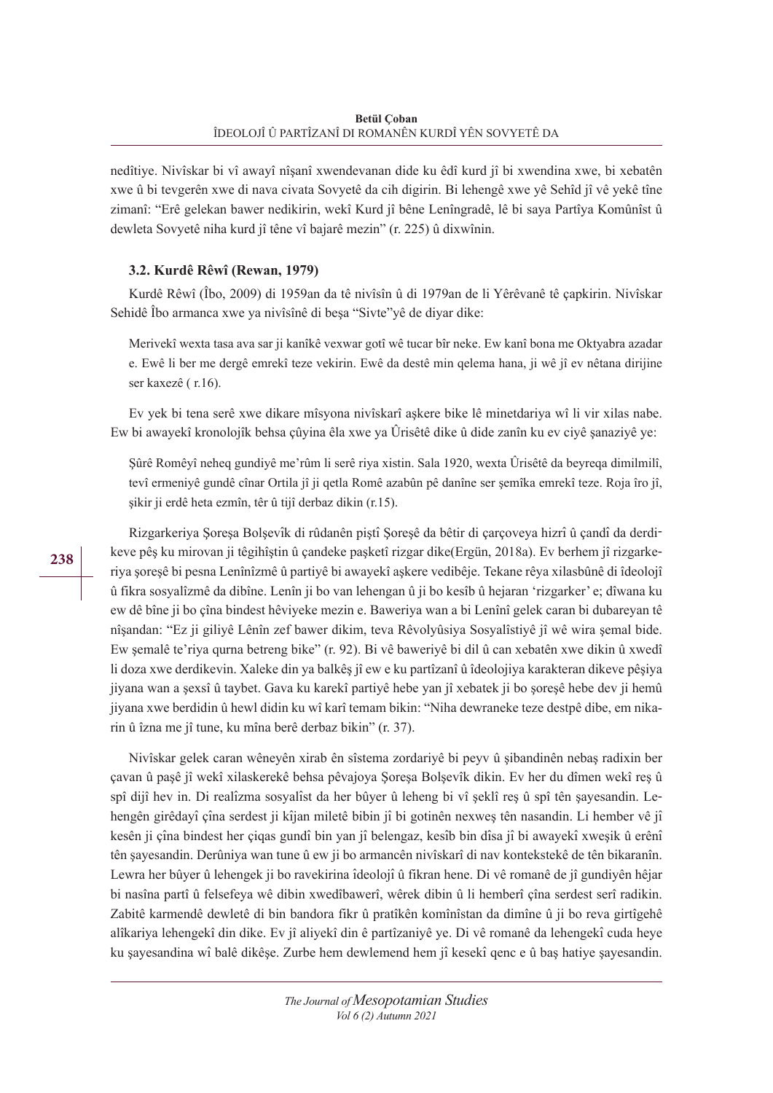nedîtiye. Nivîskar bi vî awayî nîşanî xwendevanan dide ku êdî kurd jî bi xwendina xwe, bi xebatên xwe û bi tevgerên xwe di nava civata Sovyetê da cih digirin. Bi lehengê xwe yê Sehîd jî vê yekê tîne zimanî: "Erê gelekan bawer nedikirin, wekî Kurd jî bêne Lenîngradê, lê bi saya Partîya Komûnîst û dewleta Sovyetê niha kurd jî têne vî bajarê mezin" (r. 225) û dixwînin.

# **3.2. Kurdê Rêwî (Rewan, 1979)**

Kurdê Rêwî (Îbo, 2009) di 1959an da tê nivîsîn û di 1979an de li Yêrêvanê tê çapkirin. Nivîskar Sehidê Îbo armanca xwe ya nivîsînê di beşa "Sivte"yê de diyar dike:

Merivekî wexta tasa ava sar ji kanîkê vexwar gotî wê tucar bîr neke. Ew kanî bona me Oktyabra azadar e. Ewê li ber me dergê emrekî teze vekirin. Ewê da destê min qelema hana, ji wê jî ev nêtana dirijine ser kaxezê ( r.16).

Ev yek bi tena serê xwe dikare mîsyona nivîskarî aşkere bike lê minetdariya wî li vir xilas nabe. Ew bi awayekî kronolojîk behsa çûyina êla xwe ya Ûrisêtê dike û dide zanîn ku ev ciyê şanaziyê ye:

Şûrê Romêyî neheq gundiyê me'rûm li serê riya xistin. Sala 1920, wexta Ûrisêtê da beyreqa dimilmilî, tevî ermeniyê gundê cînar Ortila jî ji qetla Romê azabûn pê danîne ser şemîka emrekî teze. Roja îro jî, şikir ji erdê heta ezmîn, têr û tijî derbaz dikin (r.15).

Rizgarkeriya Şoreşa Bolşevîk di rûdanên piştî Şoreşê da bêtir di çarçoveya hizrî û çandî da derdikeve pêş ku mirovan ji têgihîştin û çandeke paşketî rizgar dike(Ergün, 2018a). Ev berhem jî rizgarkeriya şoreşê bi pesna Lenînîzmê û partiyê bi awayekî aşkere vedibêje. Tekane rêya xilasbûnê di îdeolojî û fikra sosyalîzmê da dibîne. Lenîn ji bo van lehengan û ji bo kesîb û hejaran 'rizgarker' e; dîwana ku ew dê bîne ji bo çîna bindest hêviyeke mezin e. Baweriya wan a bi Lenînî gelek caran bi dubareyan tê nîşandan: "Ez ji giliyê Lênîn zef bawer dikim, teva Rêvolyûsiya Sosyalîstiyê jî wê wira şemal bide. Ew şemalê te'riya qurna betreng bike" (r. 92). Bi vê baweriyê bi dil û can xebatên xwe dikin û xwedî li doza xwe derdikevin. Xaleke din ya balkêş jî ew e ku partîzanî û îdeolojiya karakteran dikeve pêşiya jiyana wan a şexsî û taybet. Gava ku karekî partiyê hebe yan jî xebatek ji bo şoreşê hebe dev ji hemû jiyana xwe berdidin û hewl didin ku wî karî temam bikin: "Niha dewraneke teze destpê dibe, em nikarin û îzna me jî tune, ku mîna berê derbaz bikin" (r. 37).

Nivîskar gelek caran wêneyên xirab ên sîstema zordariyê bi peyv û şibandinên nebaş radixin ber çavan û paşê jî wekî xilaskerekê behsa pêvajoya Şoreşa Bolşevîk dikin. Ev her du dîmen wekî reş û spî dijî hev in. Di realîzma sosyalîst da her bûyer û leheng bi vî şeklî reş û spî tên şayesandin. Lehengên girêdayî çîna serdest ji kîjan miletê bibin jî bi gotinên nexweş tên nasandin. Li hember vê jî kesên ji çîna bindest her çiqas gundî bin yan jî belengaz, kesîb bin dîsa jî bi awayekî xweşik û erênî tên şayesandin. Derûniya wan tune û ew ji bo armancên nivîskarî di nav kontekstekê de tên bikaranîn. Lewra her bûyer û lehengek ji bo ravekirina îdeolojîû fikran hene. Di vê romanê de jî gundiyên hêjar bi nasîna partî û felsefeya wê dibin xwedîbawerî, wêrek dibin û li hemberî çîna serdest serî radikin. Zabitê karmendê dewletê di bin bandora fikr û pratîkên komînîstan da dimîne û ji bo reva girtîgehê alîkariya lehengekî din dike. Ev jî aliyekî din ê partîzaniyê ye. Di vê romanê da lehengekî cuda heye ku şayesandina wî balê dikêşe. Zurbe hem dewlemend hem jî kesekî qenc e û baş hatiye şayesandin.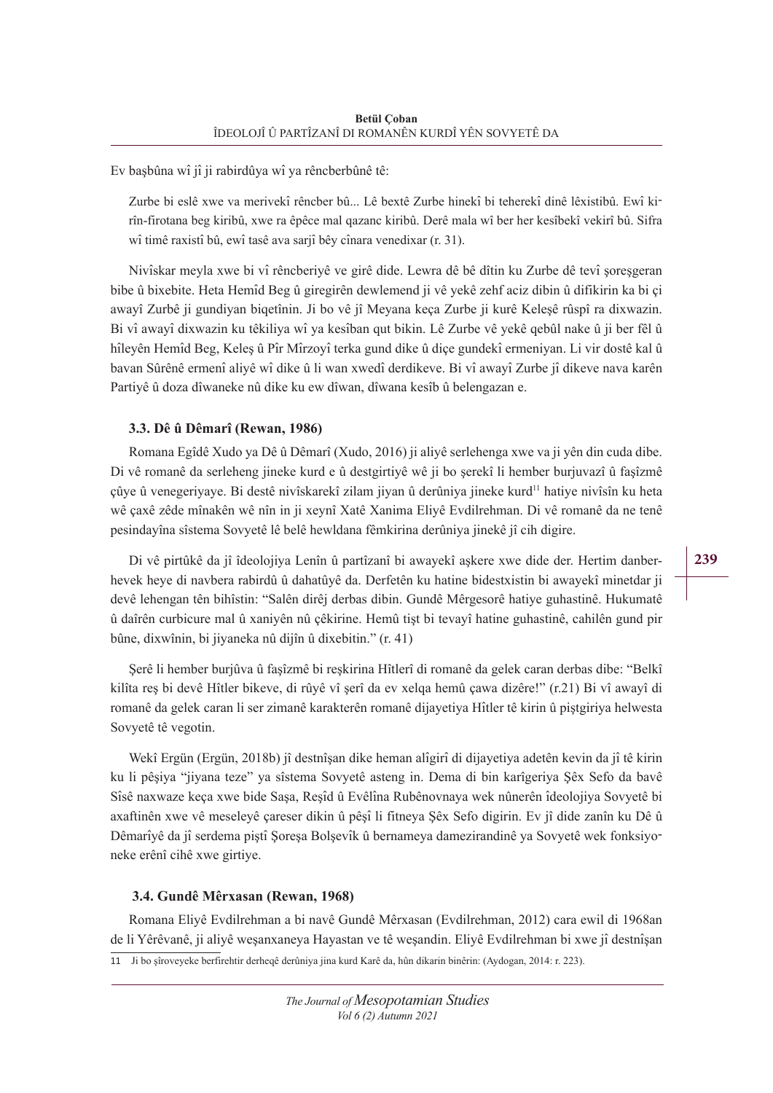Ev başbûna wî jî ji rabirdûya wî ya rêncberbûnê tê:

Zurbe bi eslê xwe va merivekî rêncber bû... Lê bextê Zurbe hinekî bi teherekî dinê lêxistibû. Ewî kirîn-firotana beg kiribû, xwe ra êpêce mal qazanc kiribû. Derê mala wî ber her kesîbekî vekirî bû. Sifra wî timê raxistî bû, ewî tasê ava sarjî bêy cînara venedixar (r. 31).

Nivîskar meyla xwe bi vî rêncberiyê ve girê dide. Lewra dê bê dîtin ku Zurbe dê tevî şoreşgeran bibe û bixebite. Heta Hemîd Beg û giregirên dewlemend ji vê yekê zehf aciz dibin û difikirin ka bi çi awayî Zurbê ji gundiyan biqetînin. Ji bo vê jî Meyana keça Zurbe ji kurê Keleşê rûspî ra dixwazin. Bi vî awayî dixwazin ku têkiliya wî ya kesîban qut bikin. Lê Zurbe vê yekê qebûl nake û ji ber fêl û hîleyên Hemîd Beg, Keleş û Pîr Mîrzoyî terka gund dike û diçe gundekî ermeniyan. Li vir dostê kal û bavan Sûrênê ermenî aliyê wî dike û li wan xwedî derdikeve. Bi vî awayî Zurbe jî dikeve nava karên Partiyê û doza dîwaneke nû dike ku ew dîwan, dîwana kesîb û belengazan e.

# **3.3. Dê û Dêmarî (Rewan, 1986)**

Romana Egîdê Xudo ya Dê û Dêmarî (Xudo, 2016) ji aliyê serlehenga xwe va ji yên din cuda dibe. Di vê romanê da serleheng jineke kurd e û destgirtiyê wê ji bo şerekî li hember burjuvazî û faşîzmê çûye û venegeriyaye. Bi destê nivîskarekî zilam jiyan û derûniya jineke kurd<sup>11</sup> hatiye nivîsîn ku heta wê çaxê zêde mînakên wê nîn in ji xeynî Xatê Xanima Eliyê Evdilrehman. Di vê romanê da ne tenê pesindayîna sîstema Sovyetê lê belê hewldana fêmkirina derûniya jinekê jî cih digire.

Di vê pirtûkê da jî îdeolojiya Lenîn û partîzanî bi awayekî aşkere xwe dide der. Hertim danberhevek heye di navbera rabirdû û dahatûyê da. Derfetên ku hatine bidestxistin bi awayekî minetdar ji devê lehengan tên bihîstin: "Salên dirêj derbas dibin. Gundê Mêrgesorê hatiye guhastinê. Hukumatê û daîrên curbicure mal û xaniyên nû çêkirine. Hemû tişt bi tevayî hatine guhastinê, cahilên gund pir bûne, dixwînin, bi jiyaneka nû dijîn û dixebitin." (r. 41)

Şerê li hember burjûva û faşîzmê bi reşkirina Hîtlerî di romanê da gelek caran derbas dibe: "Belkî kilîta reş bi devê Hîtler bikeve, di rûyê vî şerî da ev xelqa hemû çawa dizêre!" (r.21) Bi vî awayî di romanê da gelek caran li ser zimanê karakterên romanê dijayetiya Hîtler tê kirin û piştgiriya helwesta Sovyetê tê vegotin.

Wekî Ergün (Ergün, 2018b) jî destnîşan dike heman alîgirî di dijayetiya adetên kevin da jî tê kirin ku li pêşiya "jiyana teze" ya sîstema Sovyetê asteng in. Dema di bin karîgeriya Şêx Sefo da bavê Sîsê naxwaze keça xwe bide Saşa, Reşîd û Evêlîna Rubênovnaya wek nûnerên îdeolojiya Sovyetê bi axaftinên xwe vê meseleyê çareser dikin û pêşî li fitneya Şêx Sefo digirin. Ev jî dide zanîn ku Dê û Dêmarîyê da jî serdema piştî Şoreşa Bolşevîk û bernameya damezirandinê ya Sovyetê wek fonksiyoneke erênî cihê xwe girtiye.

# **3.4. Gundê Mêrxasan (Rewan, 1968)**

Romana Eliyê Evdilrehman a bi navê Gundê Mêrxasan (Evdilrehman, 2012) cara ewil di 1968an de li Yêrêvanê, ji aliyê weşanxaneya Hayastan ve tê weşandin. Eliyê Evdilrehman bi xwe jî destnîşan 11 Ji bo şîroveyeke berfirehtir derheqê derûniya jina kurd Karê da, hûn dikarin binêrin: (Aydogan, 2014: r. 223).

**239**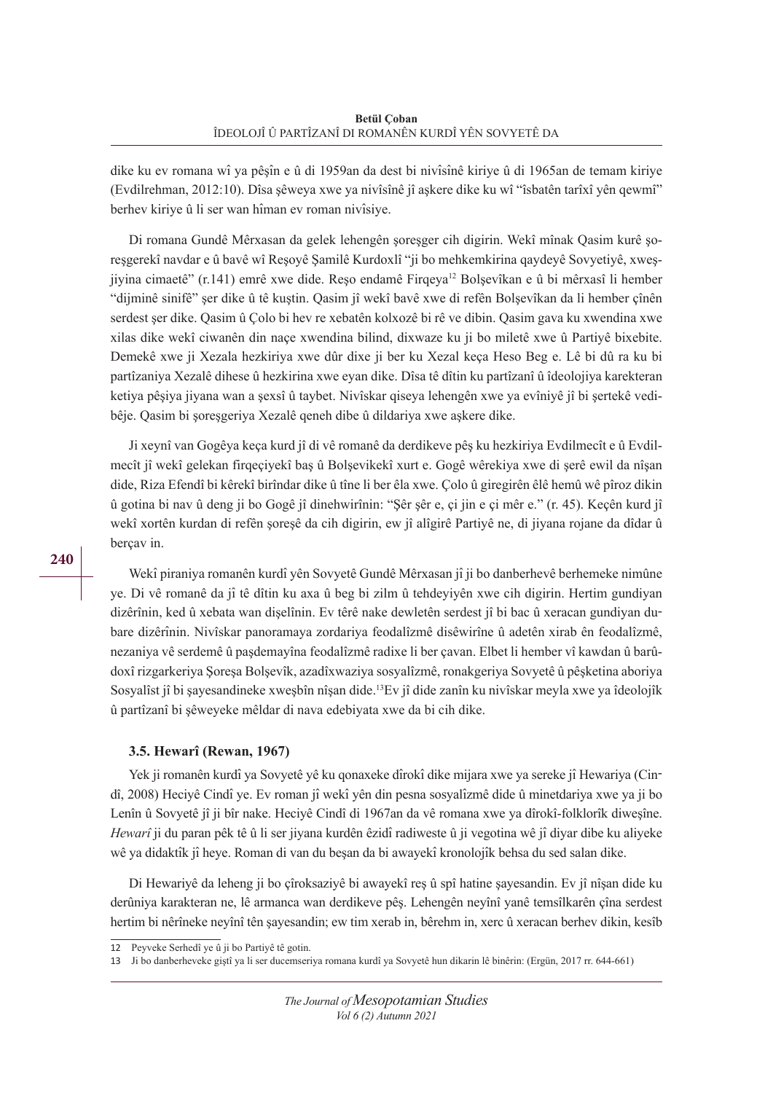dike ku ev romana wî ya pêşîn e û di 1959an da dest bi nivîsînê kiriye û di 1965an de temam kiriye (Evdilrehman, 2012:10). Dîsa şêweya xwe ya nivîsînê jî aşkere dike ku wî "îsbatên tarîxî yên qewmî" berhev kiriye û li ser wan hîman ev roman nivîsiye.

Di romana Gundê Mêrxasan da gelek lehengên şoreşger cih digirin. Wekî mînak Qasim kurê şoreşgerekî navdar e û bavê wî Reşoyê Şamilê Kurdoxlî "ji bo mehkemkirina qaydeyê Sovyetiyê, xweşjiyina cimaetê" (r.141) emrê xwe dide. Reşo endamê Firqeya12 Bolşevîkan e û bi mêrxasî li hember "dijminê sinifê" şer dike û tê kuştin. Qasim jî wekî bavê xwe di refên Bolşevîkan da li hember çînên serdest şer dike. Qasim û Çolo bi hev re xebatên kolxozê bi rê ve dibin. Qasim gava ku xwendina xwe xilas dike wekî ciwanên din naçe xwendina bilind, dixwaze ku ji bo miletê xwe û Partiyê bixebite. Demekê xwe ji Xezala hezkiriya xwe dûr dixe ji ber ku Xezal keça Heso Beg e. Lê bi dû ra ku bi partîzaniya Xezalê dihese û hezkirina xwe eyan dike. Dîsa tê dîtin ku partîzanî û îdeolojiya karekteran ketiya pêşiya jiyana wan a şexsî û taybet. Nivîskar qiseya lehengên xwe ya evîniyê jî bi şertekê vedibêje. Qasim bi şoreşgeriya Xezalê qeneh dibe û dildariya xwe aşkere dike.

Ji xeynî van Gogêya keça kurd jî di vê romanê da derdikeve pêş ku hezkiriya Evdilmecît e û Evdilmecît jî wekî gelekan firqeçiyekî baş û Bolşevikekî xurt e. Gogê wêrekiya xwe di şerê ewil da nîşan dide, Riza Efendî bi kêrekî birîndar dike û tîne li ber êla xwe. Çolo û giregirên êlê hemû wê pîroz dikin û gotina bi nav û deng ji bo Gogê jî dinehwirînin: "Şêr şêr e, çi jin e çi mêr e." (r. 45). Keçên kurd jî wekî xortên kurdan di refên şoreşê da cih digirin, ew jî alîgirê Partiyê ne, di jiyana rojane da dîdar û berçav in.

Wekî piraniya romanên kurdî yên Sovyetê Gundê Mêrxasan jî ji bo danberhevê berhemeke nimûne ye. Di vê romanê da jî tê dîtin ku axa û beg bi zilm û tehdeyiyên xwe cih digirin. Hertim gundiyan dizêrînin, ked û xebata wan dişelînin. Ev têrê nake dewletên serdest jî bi bac û xeracan gundiyan dubare dizêrînin. Nivîskar panoramaya zordariya feodalîzmê disêwirîne û adetên xirab ên feodalîzmê, nezaniya vê serdemê û paşdemayîna feodalîzmê radixe li ber çavan. Elbet li hember vî kawdan û barûdoxî rizgarkeriya Şoreşa Bolşevîk, azadîxwaziya sosyalîzmê, ronakgeriya Sovyetê û pêşketina aboriya Sosyalîst jî bi şayesandineke xweşbîn nîşan dide.13Ev jî dide zanîn ku nivîskar meyla xwe ya îdeolojîk û partîzanî bi şêweyeke mêldar di nava edebiyata xwe da bi cih dike.

## **3.5. Hewarî (Rewan, 1967)**

Yek ji romanên kurdî ya Sovyetê yê ku qonaxeke dîrokî dike mijara xwe ya sereke jî Hewariya (Cindî, 2008) Heciyê Cindî ye. Ev roman jî wekî yên din pesna sosyalîzmê dide û minetdariya xwe ya ji bo Lenîn û Sovyetê jî ji bîr nake. Heciyê Cindî di 1967an da vê romana xwe ya dîrokî-folklorîk diweşîne. *Hewarî*ji du paran pêk tê û li ser jiyana kurdên êzidî radiweste û ji vegotina wê jî diyar dibe ku aliyeke wê ya didaktîk jî heye. Roman di van du beşan da bi awayekî kronolojîk behsa du sed salan dike.

Di Hewariyê da leheng ji bo çîroksaziyê bi awayekî reş û spî hatine şayesandin. Ev jî nîşan dide ku derûniya karakteran ne, lê armanca wan derdikeve pêş. Lehengên neyînî yanê temsîlkarên çîna serdest hertim bi nêrîneke neyînî tên şayesandin; ew tim xerab in, bêrehm in, xerc û xeracan berhev dikin, kesîb

<sup>12</sup> Peyveke Serhedî ye û ji bo Partiyê tê gotin.

<sup>13</sup> Ji bo danberheveke giştî ya li ser ducemseriya romana kurdî ya Sovyetê hun dikarin lê binêrin: (Ergün, 2017 rr. 644-661)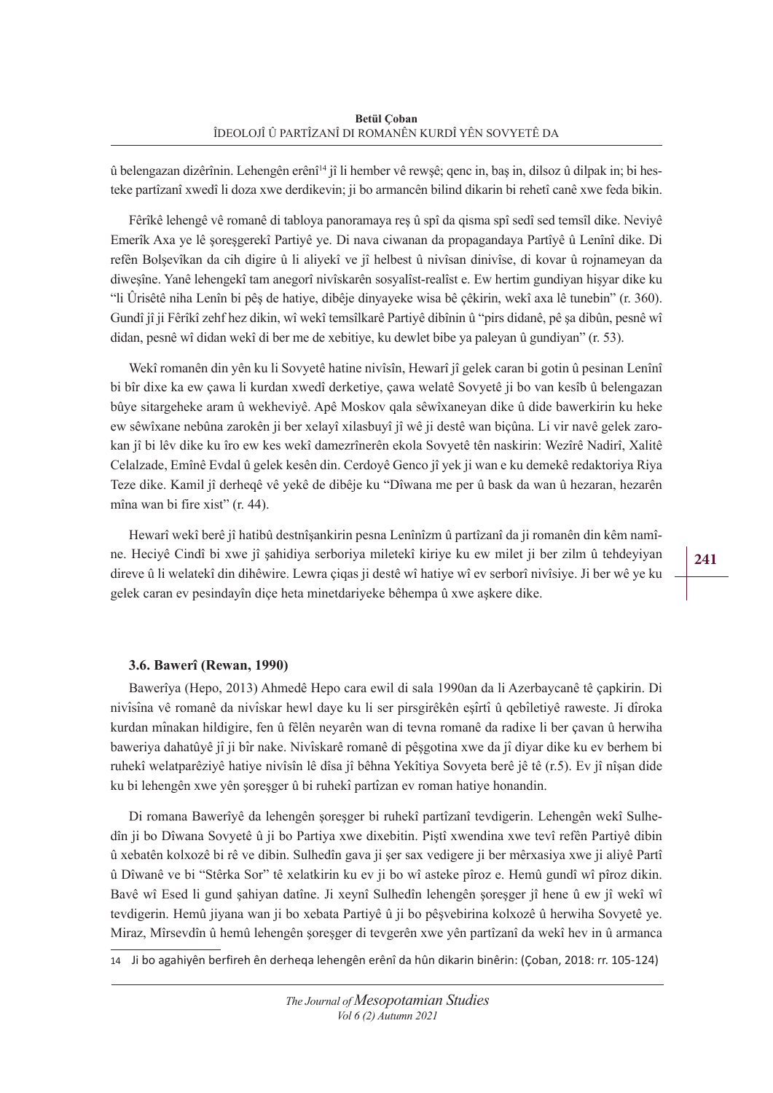û belengazan dizêrînin. Lehengên erênî14 jî li hember vê rewşê; qenc in, baş in, dilsoz û dilpak in; bi hesteke partîzanî xwedî li doza xwe derdikevin; ji bo armancên bilind dikarin bi rehetî canê xwe feda bikin.

Fêrîkê lehengê vê romanê di tabloya panoramaya reş û spî da qisma spî sedî sed temsîl dike. Neviyê Emerîk Axa ye lê şoreşgerekî Partiyê ye. Di nava ciwanan da propagandaya Partîyê û Lenînî dike. Di refên Bolşevîkan da cih digire û li aliyekî ve jî helbest û nivîsan dinivîse, di kovar û rojnameyan da diweşîne. Yanê lehengekî tam anegorî nivîskarên sosyalîst-realîst e. Ew hertim gundiyan hişyar dike ku "li Ûrisêtê niha Lenîn bi pêş de hatiye, dibêje dinyayeke wisa bê çêkirin, wekî axa lê tunebin" (r. 360). Gundî jî ji Fêrîkî zehf hez dikin, wî wekî temsîlkarê Partiyê dibînin û "pirs didanê, pê şa dibûn, pesnê wî didan, pesnê wî didan wekî di ber me de xebitiye, ku dewlet bibe ya paleyan û gundiyan" (r. 53).

Wekî romanên din yên ku li Sovyetê hatine nivîsîn, Hewarî jî gelek caran bi gotin û pesinan Lenînî bi bîr dixe ka ew çawa li kurdan xwedî derketiye, çawa welatê Sovyetê ji bo van kesîb û belengazan bûye sitargeheke aram û wekheviyê. Apê Moskov qala sêwîxaneyan dike û dide bawerkirin ku heke ew sêwîxane nebûna zarokên ji ber xelayî xilasbuyî jî wê ji destê wan biçûna. Li vir navê gelek zarokan jî bi lêv dike ku îro ew kes wekî damezrînerên ekola Sovyetê tên naskirin: Wezîrê Nadirî, Xalitê Celalzade, Emînê Evdal û gelek kesên din. Cerdoyê Genco jî yek ji wan e ku demekê redaktoriya Riya Teze dike. Kamil jî derheqê vê yekê de dibêje ku "Dîwana me per û bask da wan û hezaran, hezarên mîna wan bi fire xist" (r. 44).

Hewarî wekî berê jî hatibû destnîşankirin pesna Lenînîzm û partîzanî da ji romanên din kêm namîne. Heciyê Cindî bi xwe jî şahidiya serboriya miletekî kiriye ku ew milet ji ber zilm û tehdeyiyan direve û li welatekî din dihêwire. Lewra çiqas ji destê wî hatiye wî ev serborî nivîsiye. Ji ber wê ye ku gelek caran ev pesindayîn diçe heta minetdariyeke bêhempa û xwe aşkere dike.

## **3.6. Bawerî (Rewan, 1990)**

Bawerîya (Hepo, 2013) Ahmedê Hepo cara ewil di sala 1990an da li Azerbaycanê tê çapkirin. Di nivîsîna vê romanê da nivîskar hewl daye ku li ser pirsgirêkên eşîrtî û qebîletiyê raweste. Ji dîroka kurdan mînakan hildigire, fen û fêlên neyarên wan di tevna romanê da radixe li ber çavan û herwiha baweriya dahatûyê jî ji bîr nake. Nivîskarê romanê di pêşgotina xwe da jî diyar dike ku ev berhem bi ruhekî welatparêziyê hatiye nivîsîn lê dîsa jî bêhna Yekîtiya Sovyeta berê jê tê (r.5). Ev jî nîşan dide ku bi lehengên xwe yên şoreşger û bi ruhekî partîzan ev roman hatiye honandin.

Di romana Bawerîyê da lehengên şoreşger bi ruhekî partîzanî tevdigerin. Lehengên wekî Sulhedîn ji bo Dîwana Sovyetê û ji bo Partiya xwe dixebitin. Piştî xwendina xwe tevî refên Partiyê dibin û xebatên kolxozê bi rê ve dibin. Sulhedîn gava ji şer sax vedigere ji ber mêrxasiya xwe ji aliyê Partî û Dîwanê ve bi "Stêrka Sor" tê xelatkirin ku ev ji bo wî asteke pîroz e. Hemû gundî wî pîroz dikin. Bavê wî Esed li gund şahiyan datîne. Ji xeynî Sulhedîn lehengên şoreşger jî hene û ew jî wekî wî tevdigerin. Hemû jiyana wan ji bo xebata Partiyê û ji bo pêşvebirina kolxozê û herwiha Sovyetê ye. Miraz, Mîrsevdîn û hemû lehengên şoreşger di tevgerên xwe yên partîzanî da wekî hev in û armanca

14 Ji bo agahiyên berfireh ên derheqa lehengên erênî da hûn dikarin binêrin: (Çoban, 2018: rr. 105-124)

**241**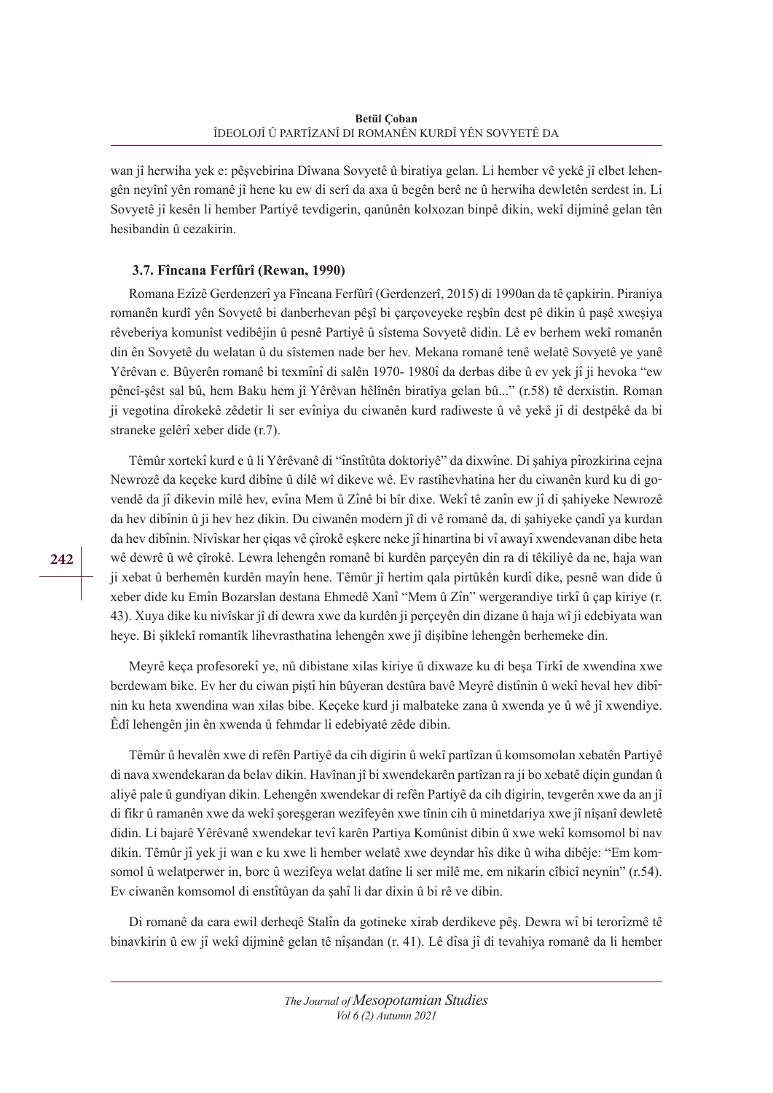wan jî herwiha yek e: pêşvebirina Dîwana Sovyetê û biratiya gelan. Li hember vê yekê jî elbet lehengên neyînî yên romanê jî hene ku ew di serî da axa û begên berê ne û herwiha dewletên serdest in. Li Sovyetê jî kesên li hember Partiyê tevdigerin, qanûnên kolxozan binpê dikin, wekî dijminê gelan tên hesibandin û cezakirin.

## **3.7. Fîncana Ferfûrî (Rewan, 1990)**

Romana Ezîzê Gerdenzerî ya Fîncana Ferfûrî (Gerdenzerî, 2015) di 1990an da tê çapkirin. Piraniya romanên kurdî yên Sovyetê bi danberhevan pêşî bi çarçoveyeke reşbîn dest pê dikin û paşê xweşiya rêveberiya komunîst vedibêjin û pesnê Partiyê û sîstema Sovyetê didin. Lê ev berhem wekî romanên din ên Sovyetê du welatan û du sîstemen nade ber hev. Mekana romanê tenê welatê Sovyetê ye yanê Yêrêvan e. Bûyerên romanê bi texmînî di salên 1970- 1980î da derbas dibe û ev yek jî ji hevoka "ew pêncî-şêst sal bû, hem Baku hem jî Yêrêvan hêlînên biratîya gelan bû..." (r.58) tê derxistin. Roman ji vegotina dîrokekê zêdetir li ser evîniya du ciwanên kurd radiweste û vê yekê jî di destpêkê da bi straneke gelêrî xeber dide (r.7).

Têmûr xortekî kurd e û li Yêrêvanê di "înstîtûta doktoriyê" da dixwîne. Di şahiya pîrozkirina cejna Newrozê da keçeke kurd dibîne û dilê wî dikeve wê. Ev rastîhevhatina her du ciwanên kurd ku di govendê da jî dikevin milê hev, evîna Mem û Zînê bi bîr dixe. Wekî tê zanîn ew jî di şahiyeke Newrozê da hev dibînin û ji hev hez dikin. Du ciwanên modern jî di vê romanê da, di şahiyeke çandî ya kurdan da hev dibînin. Nivîskar her çiqas vê çîrokê eşkere neke jî hinartina bi vî awayî xwendevanan dibe heta wê dewrê û wê çîrokê. Lewra lehengên romanê bi kurdên parçeyên din ra di têkiliyê da ne, haja wan ji xebat û berhemên kurdên mayîn hene. Têmûr jî hertim qala pirtûkên kurdî dike, pesnê wan dide û xeber dide ku Emîn Bozarslan destana Ehmedê Xanî "Mem û Zîn" wergerandiye tirkîû çap kiriye (r. 43). Xuya dike ku nivîskar jî di dewra xwe da kurdên ji perçeyên din dizane û haja wî ji edebiyata wan heye. Bi şiklekî romantîk lihevrasthatina lehengên xwe jî dişibîne lehengên berhemeke din.

Meyrê keça profesorekî ye, nû dibistane xilas kiriye û dixwaze ku di beşa Tirkî de xwendina xwe berdewam bike. Ev her du ciwan piştî hin bûyeran destûra bavê Meyrê distînin û wekî heval hev dibî nin ku heta xwendina wan xilas bibe. Keçeke kurd ji malbateke zana û xwenda ye û wê jî xwendiye. Êdî lehengên jin ên xwenda û fehmdar li edebiyatê zêde dibin.

Têmûr û hevalên xwe di refên Partiyê da cih digirin û wekî partîzan û komsomolan xebatên Partiyê di nava xwendekaran da belav dikin. Havînan jî bi xwendekarên partîzan ra ji bo xebatê diçin gundan û aliyê pale û gundiyan dikin. Lehengên xwendekar di refên Partiyê da cih digirin, tevgerên xwe da an jî di fikr û ramanên xwe da wekî şoreşgeran wezîfeyên xwe tînin cih û minetdariya xwe jî nîşanî dewletê didin. Li bajarê Yêrêvanê xwendekar tevî karên Partiya Komûnist dibin û xwe wekî komsomol bi nav dikin. Têmûr jî yek ji wan e ku xwe li hember welatê xwe deyndar hîs dike û wiha dibêje: "Em komsomol û welatperwer in, borc û wezifeya welat datîne li ser milê me, em nikarin cîbicî neynin" (r.54). Ev ciwanên komsomol di enstîtûyan da şahî li dar dixin û bi rê ve dibin.

Di romanê da cara ewil derheqê Stalîn da gotineke xirab derdikeve pêş. Dewra wî bi terorîzmê tê binavkirin û ew jî wekî dijminê gelan tê nîşandan (r. 41). Lê dîsa jî di tevahiya romanê da li hember

*The Journal of Mesopotamian Studies Vol 6 (2) Autumn 2021*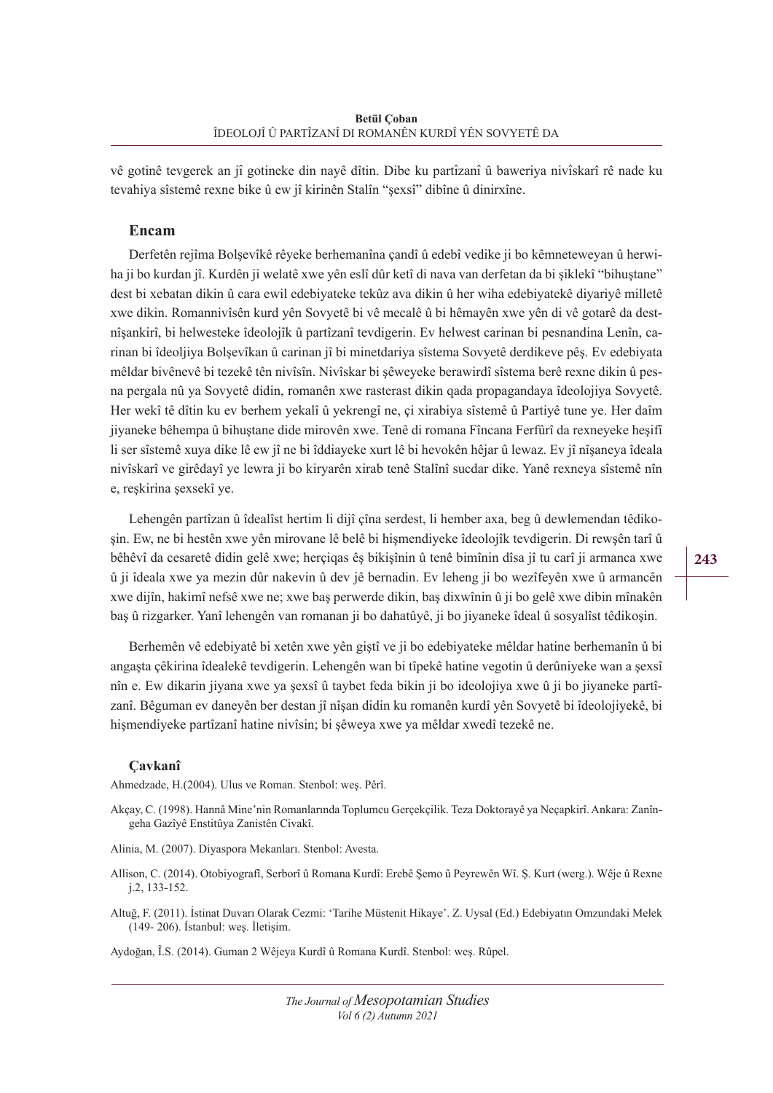vê gotinê tevgerek an jî gotineke din nayê dîtin. Dibe ku partîzanî û baweriya nivîskarî rê nade ku tevahiya sîstemê rexne bike û ew jî kirinên Stalîn "şexsî" dibîne û dinirxîne.

## **Encam**

Derfetên rejîma Bolşevîkê rêyeke berhemanîna çandî û edebî vedike ji bo kêmneteweyan û herwiha ji bo kurdan jî. Kurdên ji welatê xwe yên eslî dûr ketî di nava van derfetan da bi şiklekî "bihuştane" dest bi xebatan dikin û cara ewil edebiyateke tekûz ava dikin û her wiha edebiyatekê diyariyê milletê xwe dikin. Romannivîsên kurd yên Sovyetê bi vê mecalê û bi hêmayên xwe yên di vê gotarê da destnîşankirî, bi helwesteke îdeolojîk û partîzanî tevdigerin. Ev helwest carinan bi pesnandina Lenîn, carinan bi îdeoljiya Bolşevîkan û carinan jî bi minetdariya sîstema Sovyetê derdikeve pêş. Ev edebiyata mêldar bivênevê bi tezekê tên nivîsîn. Nivîskar bi şêweyeke berawirdî sîstema berê rexne dikin û pesna pergala nû ya Sovyetê didin, romanên xwe rasterast dikin qada propagandaya îdeolojiya Sovyetê. Her wekî tê dîtin ku ev berhem yekalî û yekrengî ne, çi xirabiya sîstemê û Partiyê tune ye. Her daîm jiyaneke bêhempa û bihuştane dide mirovên xwe. Tenê di romana Fîncana Ferfûrî da rexneyeke heşifî li ser sîstemê xuya dike lê ew jî ne bi îddiayeke xurt lê bi hevokên hêjar û lewaz. Ev jî nîşaneya îdeala nivîskarî ve girêdayî ye lewra ji bo kiryarên xirab tenê Stalînî sucdar dike. Yanê rexneya sîstemê nîn e, reşkirina şexsekî ye.

Lehengên partîzan û îdealîst hertim li dijî çîna serdest, li hember axa, beg û dewlemendan têdikoşin. Ew, ne bi hestên xwe yên mirovane lê belê bi hişmendiyeke îdeolojîk tevdigerin. Di rewşên tarî û bêhêvî da cesaretê didin gelê xwe; herçiqas êş bikişînin û tenê bimînin dîsa jî tu carî ji armanca xwe û ji îdeala xwe ya mezin dûr nakevin û dev jê bernadin. Ev leheng ji bo wezîfeyên xwe û armancên xwe dijîn, hakimî nefsê xwe ne; xwe baş perwerde dikin, baş dixwînin û ji bo gelê xwe dibin mînakên baş û rizgarker. Yanî lehengên van romanan ji bo dahatûyê, ji bo jiyaneke îdeal û sosyalîst têdikoşin.

Berhemên vê edebiyatê bi xetên xwe yên giştî ve ji bo edebiyateke mêldar hatine berhemanîn û bi angasta çêkirina îdealekê tevdigerin. Lehengên wan bi tîpekê hatine vegotin û derûniyeke wan a sexsî nîn e. Ew dikarin jiyana xwe ya şexsî û taybet feda bikin ji bo ideolojiya xwe û ji bo jiyaneke partîzanî. Bêguman ev daneyên ber destan jî nîşan didin ku romanên kurdî yên Sovyetê bi îdeolojiyekê, bi hişmendiyeke partîzanî hatine nivîsin; bi şêweya xwe ya mêldar xwedî tezekê ne.

#### **Çavkanî**

Ahmedzade, H.(2004). Ulus ve Roman. Stenbol: weş. Pêrî.

- Akçay, C. (1998). Hannâ Mine'nin Romanlarında Toplumcu Gerçekçilik. Teza Doktorayê ya Neçapkirî. Ankara: Zanîngeha Gazîyê Enstitûya Zanistên Civakî.
- Alinia, M. (2007). Diyaspora Mekanları. Stenbol: Avesta.
- Allison, C. (2014). Otobiyografî, Serborî û Romana Kurdî: Erebê Şemo û Peyrewên Wî. Ş. Kurt (werg.). Wêje û Rexne j.2, 133-152.
- Altuğ, F. (2011). İ stinat Duvarı Olarak Cezmi: 'Tarihe Müstenit Hikaye'. Z. Uysal (Ed.) Edebiyatın Omzundaki Melek (149- 206). İ stanbul: weş. İletişim.

Aydoğan, Î.S. (2014). Guman 2 Wêjeya Kurdî û Romana Kurdî. Stenbol: weş. Rûpel.